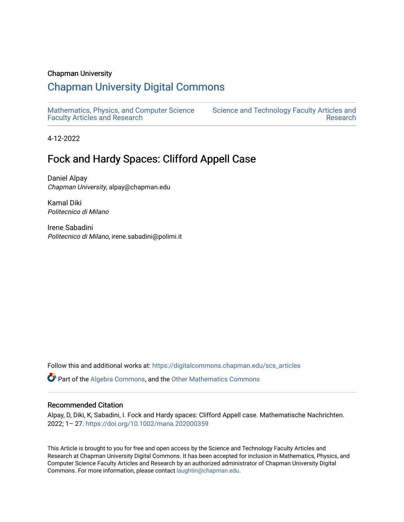## Chapman University

# [Chapman University Digital Commons](https://digitalcommons.chapman.edu/)

[Mathematics, Physics, and Computer Science](https://digitalcommons.chapman.edu/scs_articles)  [Faculty Articles and Research](https://digitalcommons.chapman.edu/scs_articles)

[Science and Technology Faculty Articles and](https://digitalcommons.chapman.edu/science_articles)  [Research](https://digitalcommons.chapman.edu/science_articles) 

4-12-2022

# Fock and Hardy Spaces: Clifford Appell Case

Daniel Alpay Chapman University, alpay@chapman.edu

Kamal Diki Politecnico di Milano

Irene Sabadini Politecnico di Milano, irene.sabadini@polimi.it

Follow this and additional works at: [https://digitalcommons.chapman.edu/scs\\_articles](https://digitalcommons.chapman.edu/scs_articles?utm_source=digitalcommons.chapman.edu%2Fscs_articles%2F788&utm_medium=PDF&utm_campaign=PDFCoverPages) 

Part of the [Algebra Commons,](http://network.bepress.com/hgg/discipline/175?utm_source=digitalcommons.chapman.edu%2Fscs_articles%2F788&utm_medium=PDF&utm_campaign=PDFCoverPages) and the [Other Mathematics Commons](http://network.bepress.com/hgg/discipline/185?utm_source=digitalcommons.chapman.edu%2Fscs_articles%2F788&utm_medium=PDF&utm_campaign=PDFCoverPages) 

#### Recommended Citation

Alpay, D, Diki, K, Sabadini, I. Fock and Hardy spaces: Clifford Appell case. Mathematische Nachrichten. 2022; 1– 27. <https://doi.org/10.1002/mana.202000359>

This Article is brought to you for free and open access by the Science and Technology Faculty Articles and Research at Chapman University Digital Commons. It has been accepted for inclusion in Mathematics, Physics, and Computer Science Faculty Articles and Research by an authorized administrator of Chapman University Digital Commons. For more information, please contact [laughtin@chapman.edu.](mailto:laughtin@chapman.edu)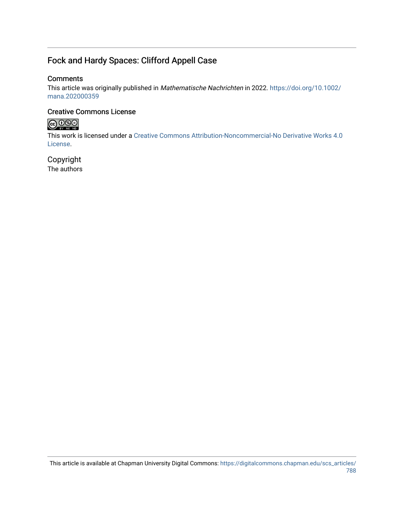# Fock and Hardy Spaces: Clifford Appell Case

## **Comments**

This article was originally published in Mathematische Nachrichten in 2022. [https://doi.org/10.1002/](https://doi.org/10.1002/mana.202000359) [mana.202000359](https://doi.org/10.1002/mana.202000359)

# Creative Commons License



This work is licensed under a [Creative Commons Attribution-Noncommercial-No Derivative Works 4.0](https://creativecommons.org/licenses/by-nc-nd/4.0/) [License](https://creativecommons.org/licenses/by-nc-nd/4.0/).

Copyright The authors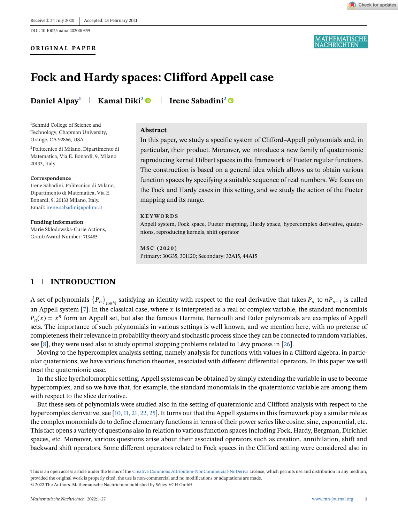#### **ORIGINAL PAPER**



<u>MATHEMATISCHE</u><br>VACHRICHTEN

# **Fock and Hardy spaces: Clifford Appell case**

**Daniel Alpay<sup>1</sup> Kamal Diki<sup>2</sup> Irene Sabadini2**

1 Schmid College of Science and Technology, Chapman University, Orange, CA 92866, USA

2Politecnico di Milano, Dipartimento di Matematica, Via E. Bonardi, 9, Milano 20133, Italy

#### **Correspondence**

Irene Sabadini, Politecnico di Milano, Dipartimento di Matematica, Via E. Bonardi, 9, 20133 Milano, Italy. Email: [irene.sabadini@polimi.it](mailto:irene.sabadini@polimi.it)

**Funding information** Marie Sklodowska-Curie Actions, Grant/Award Number: 713485

#### **Abstract**

In this paper, we study a specific system of Clifford–Appell polynomials and, in particular, their product. Moreover, we introduce a new family of quaternionic reproducing kernel Hilbert spaces in the framework of Fueter regular functions. The construction is based on a general idea which allows us to obtain various function spaces by specifying a suitable sequence of real numbers. We focus on the Fock and Hardy cases in this setting, and we study the action of the Fueter mapping and its range.

#### **KEYWORDS**

Appell system, Fock space, Fueter mapping, Hardy space, hypercomplex derivative, quaternions, reproducing kernels, shift operator

**MSC (2020)** Primary: 30G35, 30H20; Secondary: 32A15, 44A15

## **1 INTRODUCTION**

A set of polynomials  ${P_n}_{n\in\mathbb{N}}$  satisfying an identity with respect to the real derivative that takes  $P_n$  to  $nP_{n-1}$  is called an Appell system [\[7\]](#page-27-0). In the classical case, where x is interpreted as a real or complex variable, the standard monomials  $P_n(x) = x^n$  form an Appell set, but also the famous Hermite, Bernoulli and Euler polynomials are examples of Appell sets. The importance of such polynomials in various settings is well known, and we mention here, with no pretense of completeness their relevance in probability theory and stochastic process since they can be connected to random variables, see [\[8\]](#page-27-0), they were used also to study optimal stopping problems related to Lévy process in [\[26\]](#page-28-0).

Moving to the hypercomplex analysis setting, namely analysis for functions with values in a Clifford algebra, in particular quaternions, we have various function theories, associated with different differential operators. In this paper we will treat the quaternionic case.

In the slice hyerholomorphic setting, Appell systems can be obtained by simply extending the variable in use to become hypercomplex, and so we have that, for example, the standard monomials in the quaternionic variable are among them with respect to the slice derivative.

But these sets of polynomials were studied also in the setting of quaternionic and Clifford analysis with respect to the hypercomplex derivative, see [\[10, 11, 21, 22, 25\]](#page-27-0). It turns out that the Appell systems in this framework play a similar role as the complex monomials do to define elementary functions in terms of their power series like cosine, sine, exponential, etc. This fact opens a variety of questions also in relation to various function spaces including Fock, Hardy, Bergman, Dirichlet spaces, etc. Moreover, various questions arise about their associated operators such as creation, annihilation, shift and backward shift operators. Some different operators related to Fock spaces in the Clifford setting were considered also in

This is an open access article under the terms of the [Creative Commons Attribution-NonCommercial-NoDerivs](http://creativecommons.org/licenses/by-nc-nd/4.0/) License, which permits use and distribution in any medium, provided the original work is properly cited, the use is non-commercial and no modifications or adaptations are made. © 2022 The Authors. Mathematische Nachrichten published by Wiley-VCH GmbH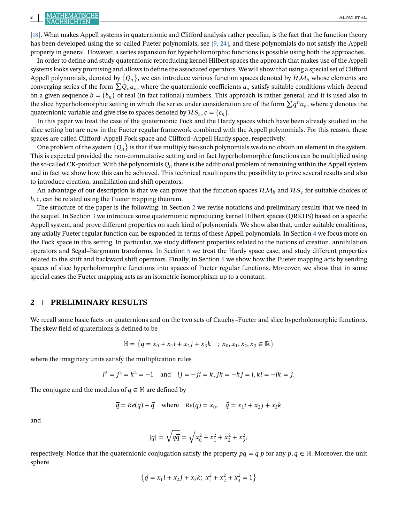# **2 ALPAY ET AL.** ALPAY ET AL. ALPAY ET AL.

[\[18\]](#page-28-0). What makes Appell systems in quaternionic and Clifford analysis rather peculiar, is the fact that the function theory has been developed using the so-called Fueter polynomials, see [\[9, 24\]](#page-27-0), and these polynomials do not satisfy the Appell property in general. However, a series expansion for hyperholomorphic functions is possible using both the approaches.

In order to define and study quaternionic reproducing kernel Hilbert spaces the approach that makes use of the Appell systems looks very promising and allows to define the associated operators. We will show that using a special set of Clifford Appell polynomials, denoted by  $\{Q_n\}$ , we can introduce various function spaces denoted by  ${\cal HM}_b$  whose elements are converging series of the form  $\sum Q_n a_n$ , where the quaternionic coefficients  $a_n$  satisfy suitable conditions which depend on a given sequence  $b = (b_n)$  of real (in fact rational) numbers. This approach is rather general, and it is used also in the slice hyperholomorphic setting in which the series under consideration are of the form  $\sum q^n a_n$ , where q denotes the quaternionic variable and give rise to spaces denoted by  $\mathcal{HS}_c$ ,  $c = (c_n)$ .

In this paper we treat the case of the quaternionic Fock and the Hardy spaces which have been already studied in the slice setting but are new in the Fueter regular framework combined with the Appell polynomials. For this reason, these spaces are called Clifford–Appell Fock space and Clifford–Appell Hardy space, respectively.

One problem of the system  ${Q_n}$  is that if we multiply two such polynomials we do no obtain an element in the system. This is expected provided the non-commutative setting and in fact hyperholomorphic functions can be multiplied using the so-called CK-product. With the polynomials  $Q_n$  there is the additional problem of remaining within the Appell system and in fact we show how this can be achieved. This technical result opens the possibility to prove several results and also to introduce creation, annihilation and shift operators.

An advantage of our description is that we can prove that the function spaces  $HM_b$  and  $HS_c$  for suitable choices of  $b, c$ , can be related using the Fueter mapping theorem.

The structure of the paper is the following: in Section 2 we revise notations and preliminary results that we need in the sequel. In Section [3](#page-5-0) we introduce some quaternionic reproducing kernel Hilbert spaces (QRKHS) based on a specific Appell system, and prove different properties on such kind of polynomials. We show also that, under suitable conditions, any axially Fueter regular function can be expanded in terms of these Appell polynomials. In Section [4](#page-9-0) we focus more on the Fock space in this setting. In particular, we study different properties related to the notions of creation, annihilation operators and Segal–Bargmann transforms. In Section [5](#page-20-0) we treat the Hardy space case, and study different properties related to the shift and backward shift operators. Finally, in Section [6](#page-25-0) we show how the Fueter mapping acts by sending spaces of slice hyperholomorphic functions into spaces of Fueter regular functions. Moreover, we show that in some special cases the Fueter mapping acts as an isometric isomorphism up to a constant.

#### **2 PRELIMINARY RESULTS**

We recall some basic facts on quaternions and on the two sets of Cauchy–Fueter and slice hyperholomorphic functions. The skew field of quaternions is defined to be

$$
\mathbb{H} = \{q = x_0 + x_1 i + x_2 j + x_3 k \; ; \; x_0, x_1, x_2, x_3 \in \mathbb{R}\}
$$

where the imaginary units satisfy the multiplication rules

$$
i^2 = j^2 = k^2 = -1
$$
 and  $ij = -ji = k$ ,  $jk = -kj = i$ ,  $ki = -ik = j$ .

The conjugate and the modulus of  $q \in \mathbb{H}$  are defined by

$$
\overline{q} = Re(q) - \overline{q}
$$
 where  $Re(q) = x_0$ ,  $\overline{q} = x_1 i + x_2 j + x_3 k$ 

and

$$
|q| = \sqrt{q\overline{q}} = \sqrt{x_0^2 + x_1^2 + x_2^2 + x_3^2},
$$

respectively. Notice that the quaternionic conjugation satisfy the property  $\overline{pq} = \overline{q} \overline{p}$  for any  $p, q \in \mathbb{H}$ . Moreover, the unit sphere

$$
\left\{\vec{q}=x_1i+x_2j+x_3k;\; x_1^2+x_2^2+x_3^2=1\right\}
$$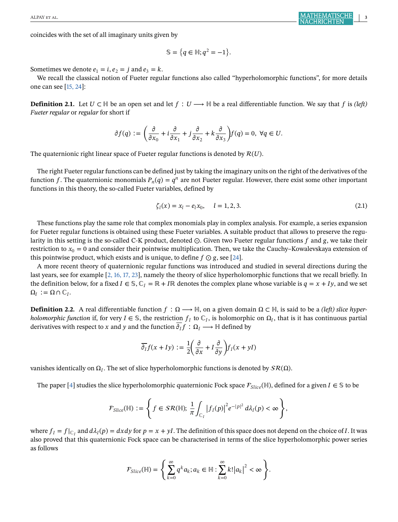coincides with the set of all imaginary units given by

$$
\mathbb{S} = \{q \in \mathbb{H}; q^2 = -1\}.
$$

Sometimes we denote  $e_1 = i$ ,  $e_2 = j$  and  $e_3 = k$ .

We recall the classical notion of Fueter regular functions also called "hyperholomorphic functions", for more details one can see [\[15, 24\]](#page-27-0):

**Definition 2.1.** Let  $U \subset \mathbb{H}$  be an open set and let  $f: U \longrightarrow \mathbb{H}$  be a real differentiable function. We say that f is *(left) Fueter regular* or *regular* for short if

$$
\partial f(q):=\bigg(\frac{\partial}{\partial x_0}+i\frac{\partial}{\partial x_1}+j\frac{\partial}{\partial x_2}+k\frac{\partial}{\partial x_3}\bigg)f(q)=0,\ \forall q\in U.
$$

The quaternionic right linear space of Fueter regular functions is denoted by  $R(U)$ .

The right Fueter regular functions can be defined just by taking the imaginary units on the right of the derivatives of the function f. The quaternionic monomials  $P_n(q) = q^n$  are not Fueter regular. However, there exist some other important functions in this theory, the so-called Fueter variables, defined by

$$
\zeta_l(x) = x_l - e_l x_0, \quad l = 1, 2, 3. \tag{2.1}
$$

These functions play the same role that complex monomials play in complex analysis. For example, a series expansion for Fueter regular functions is obtained using these Fueter variables. A suitable product that allows to preserve the regularity in this setting is the so-called C-K product, denoted  $\odot$ . Given two Fueter regular functions  $f$  and  $g$ , we take their restriction to  $x_0 = 0$  and consider their pointwise multiplication. Then, we take the Cauchy–Kowalevskaya extension of this pointwise product, which exists and is unique, to define  $f \odot g$ , see [\[24\]](#page-28-0).

A more recent theory of quaternionic regular functions was introduced and studied in several directions during the last years, see for example [\[2, 16, 17, 23\]](#page-27-0), namely the theory of slice hyperholomorphic functions that we recall briefly. In the definition below, for a fixed  $I \in \mathbb{S}$ ,  $\mathbb{C}_I = \mathbb{R} + I\mathbb{R}$  denotes the complex plane whose variable is  $q = x + Iy$ , and we set  $\Omega_I := \Omega \cap \mathbb{C}_I.$ 

**Definition 2.2.** A real differentiable function  $f: \Omega \longrightarrow \mathbb{H}$ , on a given domain  $\Omega \subset \mathbb{H}$ , is said to be a *(left) slice hyperholomorphic function* if, for very  $I \in \mathcal{S}$ , the restriction  $f_I$  to  $\mathbb{C}_I$ , is holomorphic on  $\Omega_I$ , that is it has continuous partial derivatives with respect to x and y and the function  $\overline{\partial_I} f : \Omega_I \longrightarrow \mathbb{H}$  defined by

$$
\overline{\partial_I} f(x+Iy) := \frac{1}{2} \left( \frac{\partial}{\partial x} + I \frac{\partial}{\partial y} \right) f_I(x+yI)
$$

vanishes identically on  $\Omega_I$ . The set of slice hyperholomorphic functions is denoted by  $\mathcal{SR}(\Omega)$ .

The paper [\[4\]](#page-27-0) studies the slice hyperholomorphic quaternionic Fock space  $\mathcal{F}_{Slice}(\mathbb{H})$ , defined for a given  $I \in \mathcal{S}$  to be

$$
\mathcal{F}_{Slice}(\mathbb{H}) := \left\{ f \in SR(\mathbb{H}); \frac{1}{\pi} \int_{\mathbb{C}_I} \left|f_I(p)\right|^2 e^{-|p|^2} d\lambda_I(p) < \infty \right\},\
$$

where  $f_I = f|_{C_I}$  and  $d\lambda_I(p) = dxdy$  for  $p = x + yI$ . The definition of this space does not depend on the choice of I. It was also proved that this quaternionic Fock space can be characterised in terms of the slice hyperholomorphic power series as follows

$$
\mathcal{F}_{Slice}(\mathbb{H}) = \left\{ \sum_{k=0}^{\infty} q^k a_k; a_k \in \mathbb{H} : \sum_{k=0}^{\infty} k! |a_k|^2 < \infty \right\}.
$$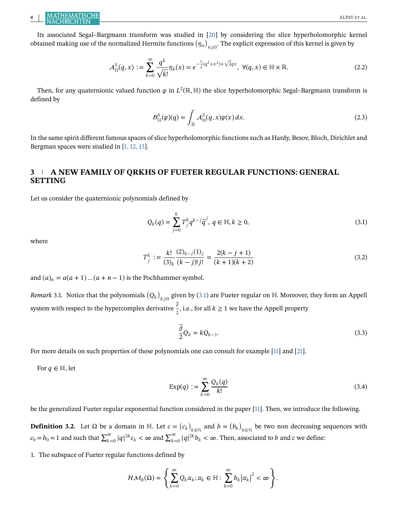<span id="page-5-0"></span>

Its associated Segal–Bargmann transform was studied in [\[20\]](#page-28-0) by considering the slice hyperholomorphic kernel obtained making use of the normalized Hermite functions  $(\eta_n)_{n\geq 0}.$  The explicit expression of this kernel is given by

$$
\mathcal{A}^{S}_{\mathbb{H}}(q,x) := \sum_{k=0}^{\infty} \frac{q^k}{\sqrt{k!}} \eta_k(x) = e^{-\frac{1}{2}(q^2 + x^2) + \sqrt{2}qx}, \ \forall (q,x) \in \mathbb{H} \times \mathbb{R}.
$$
 (2.2)

Then, for any quaternionic valued function  $\varphi$  in  $L^2(\mathbb{R}, \mathbb{H})$  the slice hyperholomorphic Segal–Bargmann transform is defined by

$$
B_{\mathbb{H}}^S(\varphi)(q) = \int_{\mathbb{R}} \mathcal{A}_{\mathbb{H}}^S(q, x) \varphi(x) \, dx. \tag{2.3}
$$

In the same spirit different famous spaces of slice hyperholomorphic functions such as Hardy, Besov, Bloch, Dirichlet and Bergman spaces were studied in [\[1, 12, 13\]](#page-27-0).

# **3 A NEW FAMILY OF QRKHS OF FUETER REGULAR FUNCTIONS: GENERAL SETTING**

Let us consider the quaternionic polynomials defined by

$$
Q_k(q) = \sum_{j=0}^k T_j^k q^{k-j} \overline{q}^j, \ q \in \mathbb{H}, k \ge 0,
$$
\n(3.1)

where

$$
T_j^k := \frac{k!}{(3)_k} \frac{(2)_{k-j}(1)_j}{(k-j)!j!} = \frac{2(k-j+1)}{(k+1)(k+2)}
$$
(3.2)

and  $(a)_n = a(a + 1) ... (a + n - 1)$  is the Pochhammer symbol.

*Remark* 3.1. Notice that the polynomials  $(Q_k)_{k\geq 0}$  given by (3.1) are Fueter regular on ℍ. Moreover, they form an Appell system with respect to the hypercomplex derivative  $\frac{\overline{\delta}}{2}$ , i.e., for all  $k \geq 1$  we have the Appell property

$$
\frac{\overline{\partial}}{2}Q_k = kQ_{k-1}.
$$
\n(3.3)

For more details on such properties of these polynomials one can consult for example [\[11\]](#page-27-0) and [\[21\]](#page-28-0).

For  $q \in \mathbb{H}$ , let

$$
\operatorname{Exp}(q) := \sum_{k=0}^{\infty} \frac{Q_k(q)}{k!}
$$
 (3.4)

be the generalized Fueter regular exponential function considered in the paper [\[11\]](#page-27-0). Then, we introduce the following.

**Definition 3.2.** Let  $\Omega$  be a domain in H. Let  $c = (c_k)_{k \in \mathbb{N}}$  and  $b = (b_k)_{k \in \mathbb{N}}$  be two non decreasing sequences with  $c_0 = b_0 = 1$  and such that  $\sum_{k=0}^{\infty} |q|^{2k} c_k < \infty$  and  $\sum_{k=0}^{\infty} |q|^{2k} b_k < \infty$ . Then, associated to b and c we define:

1. The subspace of Fueter regular functions defined by

$$
\mathcal{HM}_{b}(\Omega)=\left\{\sum_{k=0}^{\infty}Q_{k}\alpha_{k};\alpha_{k}\in\mathbb{H}:\sum_{k=0}^{\infty}b_{k}\left|\alpha_{k}\right|^{2}<\infty\right\}.
$$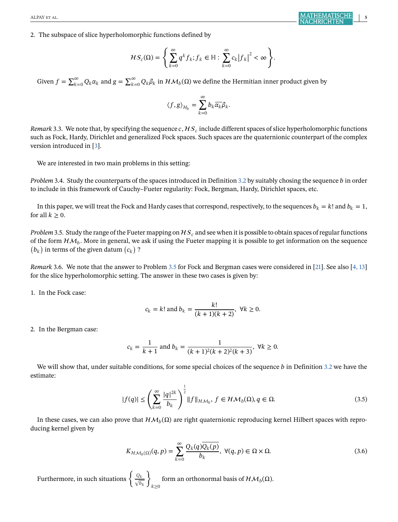<span id="page-6-0"></span>2. The subspace of slice hyperholomorphic functions defined by

$$
\mathcal{H}S_c(\Omega) = \left\{ \sum_{k=0}^{\infty} q^k f_k; f_k \in \mathbb{H} : \sum_{k=0}^{\infty} c_k |f_k|^2 < \infty \right\}.
$$

Given  $f = \sum_{k=0}^{\infty} Q_k \alpha_k$  and  $g = \sum_{k=0}^{\infty} Q_k \beta_k$  in  $\mathcal{HM}_b(\Omega)$  we define the Hermitian inner product given by

$$
\langle f, g \rangle_{\mathcal{H}_b} = \sum_{k=0}^{\infty} b_k \overline{\alpha_k} \beta_k.
$$

*Remark* 3.3. We note that, by specifying the sequence  $c$ ,  $Hs_c$  include different spaces of slice hyperholomorphic functions such as Fock, Hardy, Dirichlet and generalized Fock spaces. Such spaces are the quaternionic counterpart of the complex version introduced in [\[3\]](#page-27-0).

We are interested in two main problems in this setting:

*Problem* 3.4. Study the counterparts of the spaces introduced in Definition [3.2](#page-5-0) by suitably chosing the sequence *b* in order to include in this framework of Cauchy–Fueter regularity: Fock, Bergman, Hardy, Dirichlet spaces, etc.

In this paper, we will treat the Fock and Hardy cases that correspond, respectively, to the sequences  $b_k = k!$  and  $b_k = 1$ , for all  $k \geq 0$ .

*Problem* 3.5. Study the range of the Fueter mapping on  $HS<sub>c</sub>$  and see when it is possible to obtain spaces of regular functions of the form  $HM<sub>b</sub>$ . More in general, we ask if using the Fueter mapping it is possible to get information on the sequence  $(b_k)$  in terms of the given datum  $(c_k)$  ?

*Remark* 3.6. We note that the answer to Problem 3.5 for Fock and Bergman cases were considered in [\[21\]](#page-28-0). See also [\[4, 13\]](#page-27-0) for the slice hyperholomorphic setting. The answer in these two cases is given by:

1. In the Fock case:

$$
c_k = k!
$$
 and  $b_k = \frac{k!}{(k+1)(k+2)}$ ,  $\forall k \ge 0$ .

2. In the Bergman case:

$$
c_k = \frac{1}{k+1}
$$
 and  $b_k = \frac{1}{(k+1)^2(k+2)^2(k+3)}$ ,  $\forall k \ge 0$ .

We will show that, under suitable conditions, for some special choices of the sequence  $b$  in Definition [3.2](#page-5-0) we have the estimate:

$$
|f(q)| \le \left(\sum_{k=0}^{\infty} \frac{|q|^{2k}}{b_k}\right)^{\frac{1}{2}} \|f\|_{\mathcal{HM}_b}, \ f \in \mathcal{HM}_b(\Omega), q \in \Omega.
$$
 (3.5)

In these cases, we can also prove that  $HM_b(\Omega)$  are right quaternionic reproducing kernel Hilbert spaces with reproducing kernel given by

$$
K_{\mathcal{HM}_b(\Omega)}(q, p) = \sum_{k=0}^{\infty} \frac{Q_k(q)\overline{Q_k(p)}}{b_k}, \ \forall (q, p) \in \Omega \times \Omega.
$$
 (3.6)

Furthermore, in such situations  $\left\{\frac{Q_k}{\sqrt{b_k}}\right\}$  $k\geq 0$ form an orthonormal basis of  $H.M_b(\Omega)$ .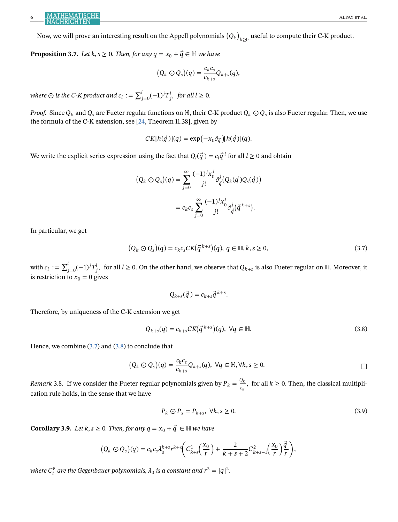# <span id="page-7-0"></span>**6 ALPAY ET AL.** ALPAY ET AL. ALPAY ET AL.

Now, we will prove an interesting result on the Appell polynomials  $\left(Q_k\right)_{k\geq 0}$  useful to compute their C-K product.

**Proposition 3.7.** *Let*  $k, s \ge 0$ *. Then, for any*  $q = x_0 + \vec{q} \in \mathbb{H}$  we have

$$
(Q_k \odot Q_s)(q) = \frac{c_k c_s}{c_{k+s}} Q_{k+s}(q),
$$

where  $\odot$  is the C-K product and  $c_l := \sum_{j=0}^l (-1)^j T^l_{\ j},\; \text{for all}\; l\geq 0.$ 

*Proof.* Since  $Q_k$  and  $Q_s$  are Fueter regular functions on H, their C-K product  $Q_k \odot Q_s$  is also Fueter regular. Then, we use the formula of the C-K extension, see [\[24,](#page-28-0) Theorem 11.38], given by

$$
CK[h(\vec{q})](q) = \exp(-x_0\partial_{\vec{q}})[h(\vec{q})](q).
$$

We write the explicit series expression using the fact that  $Q_l(\vec{q}) = c_l \vec{q}^l$  for all  $l \geq 0$  and obtain

$$
(Q_k \odot Q_s)(q) = \sum_{j=0}^{\infty} \frac{(-1)^j x_0^j}{j!} \partial_{\vec{q}}^j (Q_k(\vec{q}) Q_s(\vec{q}))
$$
  
=  $c_k c_s \sum_{j=0}^{\infty} \frac{(-1)^j x_0^j}{j!} \partial_{\vec{q}}^j (\vec{q}^{k+s}).$ 

In particular, we get

$$
(Q_k \odot Q_s)(q) = c_k c_s C K(\vec{q}^{k+s})(q), q \in \mathbb{H}, k, s \ge 0,
$$
\n(3.7)

with  $c_l := \sum_{j=0}^l (-1)^j T_j^l$ , for all  $l \geq 0.$  On the other hand, we observe that  $Q_{k+s}$  is also Fueter regular on ℍ. Moreover, it is restriction to  $x_0 = 0$  gives

$$
Q_{k+s}(\vec{q}) = c_{k+s} \vec{q}^{k+s}.
$$

Therefore, by uniqueness of the C-K extension we get

$$
Q_{k+s}(q) = c_{k+s} CK(\vec{q}^{k+s})(q), \ \forall q \in \mathbb{H}.
$$
\n
$$
(3.8)
$$

Hence, we combine (3.7) and (3.8) to conclude that

$$
(Q_k \odot Q_s)(q) = \frac{c_k c_s}{c_{k+s}} Q_{k+s}(q), \ \forall q \in \mathbb{H}, \forall k, s \geq 0.
$$

*Remark* 3.8. If we consider the Fueter regular polynomials given by  $P_k = \frac{Q_k}{c_k}$ , for all  $k \ge 0$ . Then, the classical multiplication rule holds, in the sense that we have

$$
P_k \odot P_s = P_{k+s}, \ \forall k, s \ge 0. \tag{3.9}
$$

**Corollary 3.9.** *Let*  $k, s \ge 0$ *. Then, for any*  $q = x_0 + \vec{q} \in \mathbb{H}$  we have

$$
(Q_k \odot Q_s)(q) = c_k c_s \lambda_0^{k+s} r^{k+s} \left( C_{k+s}^1 \left( \frac{x_0}{r} \right) + \frac{2}{k+s+2} C_{k+s-1}^2 \left( \frac{x_0}{r} \right) \frac{\vec{q}}{r} \right),
$$

where  $C_t^{\nu}$  are the Gegenbauer polynomials,  $\lambda_0$  is a constant and  $r^2 = |q|^2$ .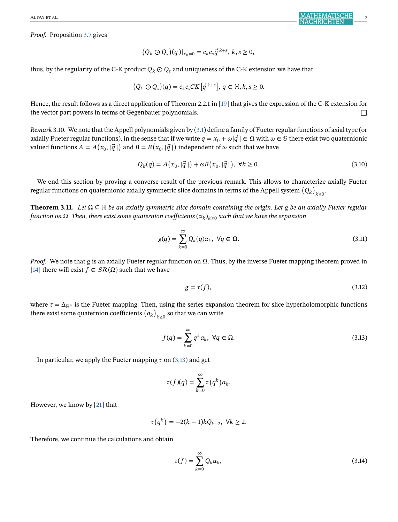<span id="page-8-0"></span>*Proof.* Proposition [3.7](#page-7-0) gives

$$
(Q_k \odot Q_s)(q)|_{x_0=0} = c_k c_s \vec{q}^{k+s}, k, s \ge 0,
$$

thus, by the regularity of the C-K product  $Q_k \odot Q_s$  and uniqueness of the C-K extension we have that

$$
(Q_k \odot Q_s)(q) = c_k c_s C K[\vec{q}^{k+s}], q \in \mathbb{H}, k, s \ge 0.
$$

Hence, the result follows as a direct application of Theorem 2.2.1 in [\[19\]](#page-28-0) that gives the expression of the C-K extension for the vector part powers in terms of Gegenbauer polynomials. □

*Remark* 3.10. We note that the Appell polynomials given by [\(3.1\)](#page-5-0) define a family of Fueter regular functions of axial type (or axially Fueter regular functions), in the sense that if we write  $q = x_0 + \omega |\vec{q}| \in \Omega$  with  $\omega \in \mathbb{S}$  there exist two quaternionic valued functions  $A = A(x_0, |\vec{q}|)$  and  $B = B(x_0, |\vec{q}|)$  independent of  $\omega$  such that we have

$$
Q_k(q) = A(x_0, |\vec{q}|) + \omega B(x_0, |\vec{q}|), \ \forall k \ge 0.
$$
 (3.10)

We end this section by proving a converse result of the previous remark. This allows to characterize axially Fueter regular functions on quaternionic axially symmetric slice domains in terms of the Appell system  $\left(Q_k\right)_{k\geq 0}$ 

**Theorem 3.11.** *Let* Ω⊆ℍ *be an axially symmetric slice domain containing the origin. Let be an axially Fueter regular function on*  $\Omega$ *. Then, there exist some quaternion coefficients*  $(\alpha_k)_{k\geq 0}$  *such that we have the expansion* 

$$
g(q) = \sum_{k=0}^{\infty} Q_k(q)\alpha_k, \ \forall q \in \Omega.
$$
 (3.11)

*Proof.* We note that g is an axially Fueter regular function on  $\Omega$ . Thus, by the inverse Fueter mapping theorem proved in [\[14\]](#page-27-0) there will exist  $f \in SR(\Omega)$  such that we have

$$
g = \tau(f),\tag{3.12}
$$

where  $\tau = \Delta_{\mathbb{R}^4}$  is the Fueter mapping. Then, using the series expansion theorem for slice hyperholomorphic functions there exist some quaternion coefficients  $\left( a_k \right)_{k \geq 0}$  so that we can write

$$
f(q) = \sum_{k=0}^{\infty} q^k a_k, \ \forall q \in \Omega.
$$
 (3.13)

In particular, we apply the Fueter mapping  $\tau$  on (3.13) and get

$$
\tau(f)(q) = \sum_{k=0}^{\infty} \tau(q^k) a_k.
$$

However, we know by [\[21\]](#page-28-0) that

$$
\tau(q^k) = -2(k-1)kQ_{k-2}, \ \forall k \ge 2.
$$

Therefore, we continue the calculations and obtain

$$
\tau(f) = \sum_{k=0}^{\infty} Q_k \alpha_k,
$$
\n(3.14)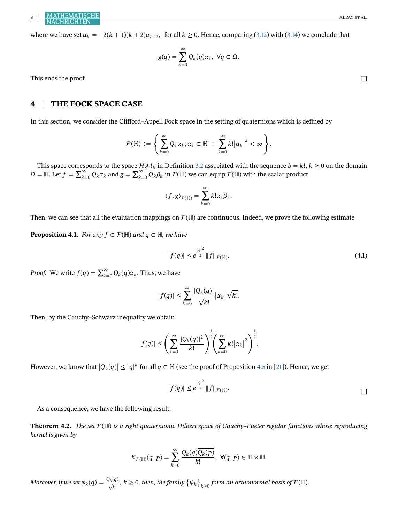<span id="page-9-0"></span>where we have set  $\alpha_k = -2(k + 1)(k + 2)a_{k+2}$ , for all  $k \ge 0$ . Hence, comparing [\(3.12\)](#page-8-0) with [\(3.14\)](#page-8-0) we conclude that

$$
g(q) = \sum_{k=0}^{\infty} Q_k(q)\alpha_k, \ \forall q \in \Omega.
$$

This ends the proof.  $\Box$ 

# **4 THE FOCK SPACE CASE**

In this section, we consider the Clifford–Appell Fock space in the setting of quaternions which is defined by

$$
\mathcal{F}(\mathbb{H}) := \left\{ \sum_{k=0}^{\infty} Q_k \alpha_k; \alpha_k \in \mathbb{H} \; : \; \sum_{k=0}^{\infty} k! |\alpha_k|^2 < \infty \right\}.
$$

This space corresponds to the space  $HM_b$  in Definition [3.2](#page-5-0) associated with the sequence  $b = k!$ ,  $k \ge 0$  on the domain  $\Omega = \mathbb{H}$ . Let  $f = \sum_{k=0}^{\infty} Q_k \alpha_k$  and  $g = \sum_{k=0}^{\infty} Q_k \beta_k$  in  $\mathcal{F}(\mathbb{H})$  we can equip  $\mathcal{F}(\mathbb{H})$  with the scalar product

$$
\langle f, g \rangle_{\mathcal{F}(\mathbb{H})} = \sum_{k=0}^{\infty} k! \overline{\alpha_k} \beta_k.
$$

Then, we can see that all the evaluation mappings on  $\mathcal{F}(\mathbb{H})$  are continuous. Indeed, we prove the following estimate

**Proposition 4.1.** *For any*  $f \in \mathcal{F}(\mathbb{H})$  *and*  $q \in \mathbb{H}$ *, we have* 

$$
|f(q)| \le e^{\frac{|q|^2}{2}} \|f\|_{\mathcal{F}(\mathbb{H})}.
$$
 (4.1)

*Proof.* We write  $f(q) = \sum_{k=0}^{\infty} Q_k(q) \alpha_k$ . Thus, we have

$$
|f(q)| \leq \sum_{k=0}^{\infty} \frac{|Q_k(q)|}{\sqrt{k!}} |\alpha_k| \sqrt{k!}.
$$

Then, by the Cauchy–Schwarz inequality we obtain

$$
|f(q)|\leq \left(\sum\limits_{k=0}^{\infty}\frac{|Q_k(q)|^2}{k!}\right)^{\frac{1}{2}}\!\!\left(\sum\limits_{k=0}^{\infty}k! \big|\alpha_k\big|^2\right)^{\frac{1}{2}}\!.
$$

However, we know that  $|Q_k(q)| \le |q|^k$  for all  $q \in \mathbb{H}$  (see the proof of Proposition [4.5](#page-12-0) in [\[21\]](#page-28-0)). Hence, we get

$$
|f(q)| \leq e^{\frac{|q|^2}{2}} \|f\|_{\mathcal{F}(\mathbb{H})}.
$$

As a consequence, we have the following result.

**Theorem 4.2.** *The set*  $F(\mathbb{H})$  *is a right quaternionic Hilbert space of Cauchy–Fueter regular functions whose reproducing kernel is given by*

$$
K_{\mathcal{F}(\mathbb{H})}(q,p) = \sum_{k=0}^{\infty} \frac{Q_k(q)\overline{Q_k(p)}}{k!}, \ \forall (q,p) \in \mathbb{H} \times \mathbb{H}.
$$

 $M$ oreover, if we set  $\psi_k(q)=\frac{Q_k(q)}{\sqrt{k!}},$   $k\geq 0$ , then, the family  $\big\{\psi_k\big\}_{k\geq 0}$  form an orthonormal basis of  $\mathcal{F}(\mathbb{H}).$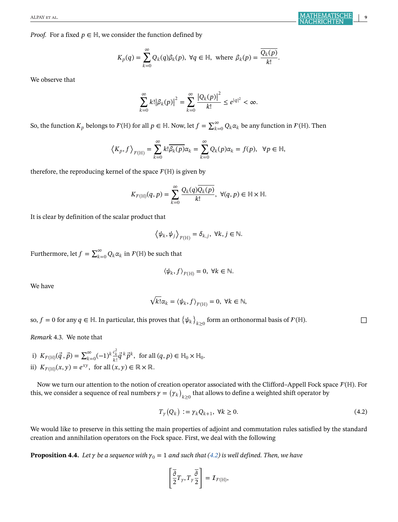<span id="page-10-0"></span>*Proof.* For a fixed  $p \in \mathbb{H}$ , we consider the function defined by

$$
K_p(q) = \sum_{k=0}^{\infty} Q_k(q) \beta_k(p), \ \forall q \in \mathbb{H}, \text{ where } \beta_k(p) = \frac{\overline{Q_k(p)}}{k!}.
$$

We observe that

$$
\sum_{k=0}^{\infty} k! |\beta_k(p)|^2 = \sum_{k=0}^{\infty} \frac{|Q_k(p)|^2}{k!} \le e^{|q|^2} < \infty.
$$

So, the function  $K_p$  belongs to  $\mathcal{F}(\mathbb{H})$  for all  $p\in \mathbb{H}$ . Now, let  $f=\sum_{k=0}^\infty Q_k\alpha_k$  be any function in  $\mathcal{F}(\mathbb{H})$ . Then

$$
\left\langle K_p, f \right\rangle_{\mathcal{F}(\mathbb{H})} = \sum_{k=0}^{\infty} k! \overline{\beta_k(p)} \alpha_k = \sum_{k=0}^{\infty} Q_k(p) \alpha_k = f(p), \ \ \forall p \in \mathbb{H},
$$

therefore, the reproducing kernel of the space  $\mathcal{F}(\mathbb{H})$  is given by

$$
K_{\mathcal{F}(\mathbb{H})}(q,p) = \sum_{k=0}^{\infty} \frac{Q_k(q)\overline{Q_k(p)}}{k!}, \ \forall (q,p) \in \mathbb{H} \times \mathbb{H}.
$$

It is clear by definition of the scalar product that

$$
\left\langle \psi_k, \psi_j \right\rangle_{\mathcal{F}(\mathbb{H})} = \delta_{k,j}, \ \forall k, j \in \mathbb{N}.
$$

Furthermore, let  $f=\sum_{k=0}^\infty Q_k\alpha_k$  in  $\mathcal{F}(\mathbb{H})$  be such that

$$
\langle \psi_k, f \rangle_{\mathcal{F}(\mathbb{H})} = 0, \ \forall k \in \mathbb{N}.
$$

We have

$$
\sqrt{k!}\alpha_k = \langle \psi_k, f \rangle_{\mathcal{F}(\mathbb{H})} = 0, \ \forall k \in \mathbb{N},
$$

so,  $f = 0$  for any  $q \in \mathbb{H}$ . In particular, this proves that  $\{ \psi_k \}_{k \geq 0}$  form an orthonormal basis of  $\mathcal{F}(\mathbb{H})$ .

*Remark* 4.3. We note that

i)  $K_{\mathcal{F}(\mathbb{H})}(\vec{q}, \vec{p}) = \sum_{k=0}^{\infty} (-1)^k \frac{c_k^2}{k!} \vec{q}^k \vec{p}^k$ , for all  $(q, p) \in \mathbb{H}_0 \times \mathbb{H}_0$ . ii)  $K_{\mathcal{F}(\mathbb{H})}(x, y) = e^{xy}$ , for all  $(x, y) \in \mathbb{R} \times \mathbb{R}$ .

Now we turn our attention to the notion of creation operator associated with the Clifford–Appell Fock space  $\mathcal{F}(\mathbb{H})$ . For this, we consider a sequence of real numbers  $\gamma = (\gamma_k)_{k\geq 0}$  that allows to define a weighted shift operator by

$$
T_{\gamma}(Q_k) := \gamma_k Q_{k+1}, \ \forall k \ge 0. \tag{4.2}
$$

We would like to preserve in this setting the main properties of adjoint and commutation rules satisfied by the standard creation and annihilation operators on the Fock space. First, we deal with the following

**Proposition 4.4.** *Let*  $\gamma$  *be a sequence with*  $\gamma_0 = 1$  *and such that* (4.2) *is well defined. Then, we have* 

$$
\left[\frac{\overline{\partial}}{2}T_{\gamma},T_{\gamma}\frac{\overline{\partial}}{2}\right]=\mathcal{I}_{\mathcal{F}(\mathbb{H})},
$$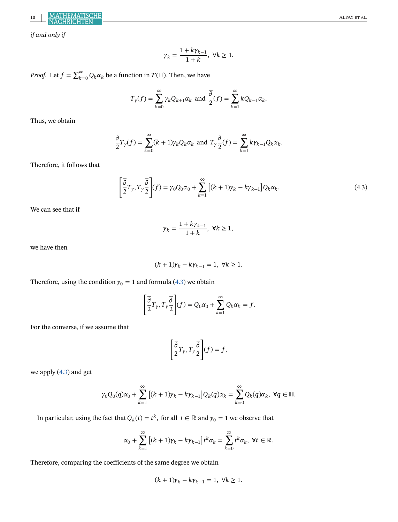**10** ALPAY et al.

*if and only if*

$$
\gamma_k = \frac{1 + k\gamma_{k-1}}{1 + k}, \ \forall k \ge 1.
$$

*Proof.* Let  $f = \sum_{k=0}^{\infty} Q_k \alpha_k$  be a function in  $\mathcal{F}(\mathbb{H})$ . Then, we have

$$
T_{\gamma}(f) = \sum_{k=0}^{\infty} \gamma_k Q_{k+1} \alpha_k \text{ and } \frac{\overline{\partial}}{2}(f) = \sum_{k=1}^{\infty} k Q_{k-1} \alpha_k.
$$

Thus, we obtain

$$
\overline{\frac{\partial}{\partial}}T_{\gamma}(f) = \sum_{k=0}^{\infty} (k+1)\gamma_k Q_k \alpha_k \text{ and } T_{\gamma} \overline{\frac{\partial}{\partial}}(f) = \sum_{k=1}^{\infty} k \gamma_{k-1} Q_k \alpha_k.
$$

Therefore, it follows that

$$
\left[\frac{\overline{\partial}}{2}T_{\gamma}, T_{\gamma}\frac{\overline{\partial}}{2}\right](f) = \gamma_0 Q_0 \alpha_0 + \sum_{k=1}^{\infty} \left[ (k+1)\gamma_k - k\gamma_{k-1} \right] Q_k \alpha_k.
$$
\n(4.3)

We can see that if

$$
\gamma_k = \frac{1 + k\gamma_{k-1}}{1 + k}, \ \forall k \ge 1,
$$

we have then

$$
(k+1)\gamma_k - k\gamma_{k-1} = 1, \ \forall k \ge 1.
$$

Therefore, using the condition  $\gamma_0 = 1$  and formula (4.3) we obtain

$$
\left[\frac{\overline{\partial}}{2}T_{\gamma}, T_{\gamma} \frac{\overline{\partial}}{2}\right](f) = Q_0 \alpha_0 + \sum_{k=1}^{\infty} Q_k \alpha_k = f.
$$

For the converse, if we assume that

$$
\left[\overline{\frac{\partial}{2}}T_{\gamma}, T_{\gamma}\overline{\frac{\partial}{2}}\right](f) = f,
$$

we apply (4.3) and get

$$
\gamma_0 Q_0(q)\alpha_0 + \sum_{k=1}^{\infty} \left[ (k+1)\gamma_k - k\gamma_{k-1} \right] Q_k(q)\alpha_k = \sum_{k=0}^{\infty} Q_k(q)\alpha_k, \ \forall q \in \mathbb{H}.
$$

In particular, using the fact that  $Q_k(t) = t^k$ , for all  $t \in \mathbb{R}$  and  $\gamma_0 = 1$  we observe that

$$
\alpha_0 + \sum_{k=1}^{\infty} \left[ (k+1)\gamma_k - k\gamma_{k-1} \right] t^k \alpha_k = \sum_{k=0}^{\infty} t^k \alpha_k, \ \forall t \in \mathbb{R}.
$$

Therefore, comparing the coefficients of the same degree we obtain

$$
(k+1)\gamma_k - k\gamma_{k-1} = 1, \ \forall k \ge 1.
$$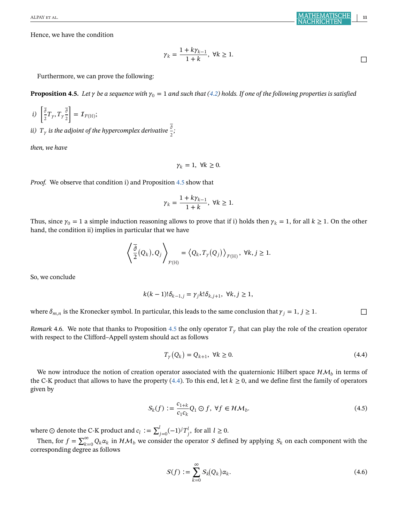<span id="page-12-0"></span>Hence, we have the condition

$$
\gamma_k = \frac{1 + k\gamma_{k-1}}{1 + k}, \ \forall k \ge 1.
$$

Furthermore, we can prove the following:

**Proposition 4.5.** Let  $\gamma$  be a sequence with  $\gamma_0 = 1$  and such that [\(4.2\)](#page-10-0) holds. If one of the following properties is satisfied

$$
i) \left[\frac{\overline{\partial}}{2}T_{\gamma}, T_{\gamma}\frac{\overline{\partial}}{2}\right] = \mathcal{I}_{\mathcal{F}(\mathbb{H})};
$$

*ii)*  $T_{\gamma}$  is the adjoint of the hypercomplex derivative  $\frac{\bar{\delta}}{2}$ ;

*then, we have*

$$
\gamma_k = 1, \ \forall k \geq 0.
$$

*Proof.* We observe that condition i) and Proposition 4.5 show that

$$
\gamma_k=\frac{1+k\gamma_{k-1}}{1+k},\ \forall k\geq 1.
$$

Thus, since  $\gamma_0 = 1$  a simple induction reasoning allows to prove that if i) holds then  $\gamma_k = 1$ , for all  $k \ge 1$ . On the other hand, the condition ii) implies in particular that we have

$$
\left\langle \frac{\overline{\partial}}{2}(Q_k), Q_j \right\rangle_{\mathcal{F}(\mathbb{H})} = \left\langle Q_k, T_{\gamma}(Q_j) \right\rangle_{\mathcal{F}(\mathbb{H})}, \ \forall k, j \geq 1.
$$

So, we conclude

$$
k(k-1)!\delta_{k-1,j} = \gamma_j k!\delta_{k,j+1}, \ \forall k, j \ge 1,
$$

where  $\delta_{m,n}$  is the Kronecker symbol. In particular, this leads to the same conclusion that  $\gamma_i = 1, j \ge 1$ .

*Remark* 4.6. We note that thanks to Proposition 4.5 the only operator  $T<sub>\gamma</sub>$  that can play the role of the creation operator with respect to the Clifford–Appell system should act as follows

$$
T_{\gamma}(Q_k) = Q_{k+1}, \ \forall k \ge 0. \tag{4.4}
$$

We now introduce the notion of creation operator associated with the quaternionic Hilbert space  $H\mathcal{M}_h$  in terms of the C-K product that allows to have the property (4.4). To this end, let  $k \ge 0$ , and we define first the family of operators given by

$$
S_k(f) := \frac{c_{1+k}}{c_1 c_k} Q_1 \odot f, \ \forall f \in \mathcal{HM}_b. \tag{4.5}
$$

where ⊙ denote the C-K product and  $c_l := \sum_{j=0}^l (-1)^j T_j^l$ , for all  $l \ge 0$ .

Then, for  $f = \sum_{k=0}^{\infty} Q_k \alpha_k$  in  $\mathcal{HM}_b$  we consider the operator S defined by applying  $S_k$  on each component with the corresponding degree as follows

$$
S(f) := \sum_{k=0}^{\infty} S_k(Q_k) \alpha_k.
$$
 (4.6)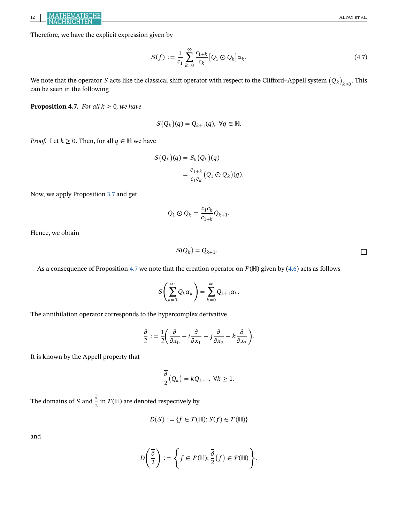<span id="page-13-0"></span>Therefore, we have the explicit expression given by

$$
S(f) := \frac{1}{c_1} \sum_{k=0}^{\infty} \frac{c_{1+k}}{c_k} [Q_1 \odot Q_k] \alpha_k.
$$
 (4.7)

We note that the operator  $S$  acts like the classical shift operator with respect to the Clifford–Appell system  $(Q_k)_{k\geq 0}$ . This can be seen in the following

**Proposition 4.7.** *For all*  $k \geq 0$ *, we have* 

$$
S(Q_k)(q) = Q_{k+1}(q), \ \forall q \in \mathbb{H}.
$$

*Proof.* Let  $k \geq 0$ . Then, for all  $q \in \mathbb{H}$  we have

$$
S(Q_k)(q) = S_k(Q_k)(q)
$$
  
= 
$$
\frac{c_{1+k}}{c_1c_k}(Q_1 \odot Q_k)(q).
$$

Now, we apply Proposition [3.7](#page-7-0) and get

$$
Q_1 \odot Q_k = \frac{c_1 c_k}{c_{1+k}} Q_{k+1}.
$$

Hence, we obtain

$$
S(Q_k) = Q_{k+1}.
$$

As a consequence of Proposition 4.7 we note that the creation operator on  $\mathcal{F}(\mathbb{H})$  given by [\(4.6\)](#page-12-0) acts as follows

$$
S\left(\sum_{k=0}^{\infty} Q_k \alpha_k\right) = \sum_{k=0}^{\infty} Q_{k+1} \alpha_k.
$$

The annihilation operator corresponds to the hypercomplex derivative

$$
\frac{\overline{\partial}}{2} := \frac{1}{2} \left( \frac{\partial}{\partial x_0} - i \frac{\partial}{\partial x_1} - j \frac{\partial}{\partial x_2} - k \frac{\partial}{\partial x_3} \right).
$$

It is known by the Appell property that

$$
\overline{\frac{\partial}{2}}\left(Q_k\right)=kQ_{k-1},\ \forall k\geq 1.
$$

The domains of  $\mathcal S$  and  $\frac{\overline{\partial}}{2}$  in  $\mathcal F(\mathbb H)$  are denoted respectively by

$$
D(S) := \{ f \in \mathcal{F}(\mathbb{H}); S(f) \in \mathcal{F}(\mathbb{H}) \}
$$

and

$$
D\left(\frac{\overline{\partial}}{2}\right):=\left\{f\in\mathcal{F}(\mathbb{H}); \frac{\overline{\partial}}{2}(f)\in\mathcal{F}(\mathbb{H})\right\}.
$$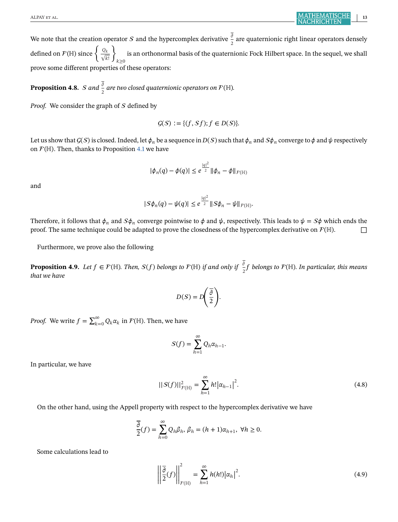<span id="page-14-0"></span>We note that the creation operator S and the hypercomplex derivative  $\frac{\overline{\delta}}{2}$  are quaternionic right linear operators densely defined on  $\mathcal{F}(\mathbb{H})$  since  $\left\{\frac{Q_k}{\sqrt{k!}}\right\}_{k\geq 0}$ is an orthonormal basis of the quaternionic Fock Hilbert space. In the sequel, we shall prove some different properties of these operators:

**Proposition 4.8.** *S* and  $\frac{\overline{\partial}}{2}$  are two closed quaternionic operators on  $\mathcal{F}(\mathbb{H})$ .

*Proof.* We consider the graph of S defined by

$$
\mathcal{G}(S) := \{ (f, Sf); f \in D(S) \}.
$$

Let us show that  $G(S)$  is closed. Indeed, let  $\phi_n$  be a sequence in  $D(S)$  such that  $\phi_n$  and  $S\phi_n$  converge to  $\phi$  and  $\psi$  respectively on  $\mathcal{F}(\mathbb{H})$ . Then, thanks to Proposition [4.1](#page-9-0) we have

$$
|\phi_n(q) - \phi(q)| \leq e^{\frac{|q|^2}{2}} \|\phi_n - \phi\|_{\mathcal{F}(\mathbb{H})}
$$

and

$$
|S\phi_n(q) - \psi(q)| \leq e^{\frac{|q|^2}{2}} \|S\phi_n - \psi\|_{\mathcal{F}(\mathbb{H})}.
$$

Therefore, it follows that  $\phi_n$  and  $S\phi_n$  converge pointwise to  $\phi$  and  $\psi$ , respectively. This leads to  $\psi = S\phi$  which ends the proof. The same technique could be adapted to prove the closedness of the hypercomplex derivative on  $\mathcal{F}(\mathbb{H})$ .

Furthermore, we prove also the following

**Proposition 4.9.** Let  $f \in \mathcal{F}(\mathbb{H})$ . Then,  $S(f)$  belongs to  $\mathcal{F}(\mathbb{H})$  if and only if  $\frac{3}{2}f$  belongs to  $\mathcal{F}(\mathbb{H})$ . In particular, this means *that we have*

$$
D(S) = D\left(\frac{\overline{\partial}}{2}\right).
$$

*Proof.* We write  $f = \sum_{k=0}^{\infty} Q_k \alpha_k$  in  $\mathcal{F}(\mathbb{H})$ . Then, we have

$$
S(f) = \sum_{h=1}^{\infty} Q_h \alpha_{h-1}.
$$

In particular, we have

$$
||S(f)||_{F(\mathbb{H})}^{2} = \sum_{h=1}^{\infty} h! |\alpha_{h-1}|^{2}.
$$
 (4.8)

On the other hand, using the Appell property with respect to the hypercomplex derivative we have

$$
\overline{\frac{\partial}{2}}(f) = \sum_{h=0}^{\infty} Q_h \beta_h, \, \beta_h = (h+1)\alpha_{h+1}, \, \, \forall h \ge 0.
$$

Some calculations lead to

$$
\left\| \frac{\overline{\partial}}{2}(f) \right\|_{\mathcal{F}(\mathbb{H})}^2 = \sum_{h=1}^{\infty} h(h!) |\alpha_h|^2.
$$
 (4.9)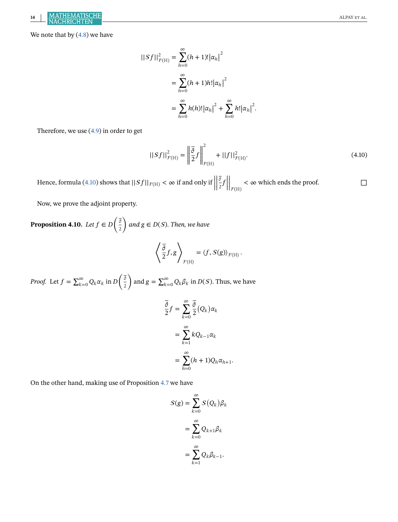We note that by  $(4.8)$  we have

$$
||Sf||_{F(\mathbb{H})}^{2} = \sum_{h=0}^{\infty} (h+1)! |\alpha_{h}|^{2}
$$
  
= 
$$
\sum_{h=0}^{\infty} (h+1)h! |\alpha_{h}|^{2}
$$
  
= 
$$
\sum_{h=0}^{\infty} h(h)! |\alpha_{h}|^{2} + \sum_{h=0}^{\infty} h! |\alpha_{h}|^{2}.
$$

Therefore, we use [\(4.9\)](#page-14-0) in order to get

$$
||Sf||_{\mathcal{F}(\mathbb{H})}^{2} = \left\|\frac{\overline{\partial}}{2}f\right\|_{\mathcal{F}(\mathbb{H})}^{2} + ||f||_{\mathcal{F}(\mathbb{H})}^{2}.
$$
 (4.10)

Hence, formula (4.10) shows that  $||Sf||_{F(\mathbb{H})} < \infty$  if and only if  $||Sf||_{F(\mathbb{H})}$ | | | | ō  $\frac{\sigma}{2}f$  $\big|_{\mathcal{F}(\mathbb H)}$  $<$   $\infty$  which ends the proof.

Now, we prove the adjoint property.

**Proposition 4.10.** *Let*  $f \in D\left(\frac{\overline{\delta}}{2}\right)$  $\Big)$  and  $g \in D(S)$ . Then, we have

$$
\left\langle \frac{\overline{\partial}}{2} f, g \right\rangle_{\mathcal{F}(\mathbb{H})} = \left\langle f, S(g) \right\rangle_{\mathcal{F}(\mathbb{H})}.
$$

*Proof.* Let  $f = \sum_{k=0}^{\infty} Q_k \alpha_k$  in  $D\left(\frac{\overline{\delta}}{2}\right)$ 2 ) and  $g = \sum_{k=0}^{\infty} Q_k \beta_k$  in  $D(S)$ . Thus, we have

$$
\overline{\frac{\partial}{\partial}}f = \sum_{k=0}^{\infty} \frac{\overline{\partial}}{2} (Q_k) \alpha_k
$$

$$
= \sum_{k=1}^{\infty} k Q_{k-1} \alpha_k
$$

$$
= \sum_{h=0}^{\infty} (h+1) Q_h \alpha_{h+1}.
$$

On the other hand, making use of Proposition [4.7](#page-13-0) we have

$$
S(g) = \sum_{k=0}^{\infty} S(Q_k) \beta_k
$$

$$
= \sum_{k=0}^{\infty} Q_{k+1} \beta_k
$$

$$
= \sum_{k=1}^{\infty} Q_k \beta_{k-1}.
$$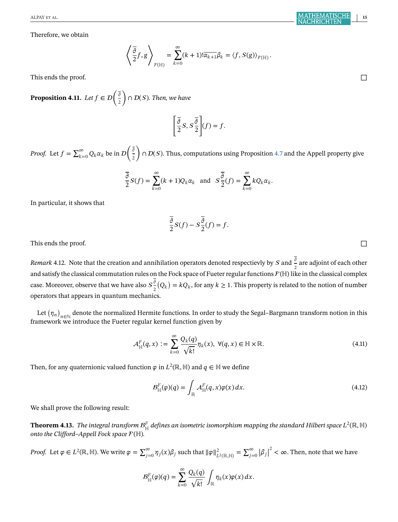Therefore, we obtain

$$
\left\langle \frac{\overline{\partial}}{2} f, g \right\rangle_{\mathcal{F}(\mathbb{H})} = \sum_{k=0}^{\infty} (k+1) ! \overline{\alpha_{k+1}} \beta_k = \left\langle f, S(g) \right\rangle_{\mathcal{F}(\mathbb{H})}.
$$

This ends the proof. □

**Proposition 4.11.** Let  $f \in \mathcal{D}\left(\frac{\overline{\delta}}{2}\right)$ 2  $($   $\cap$   $D(S)$ *. Then, we have* 

$$
\left[\frac{\overline{\partial}}{2}S, S\frac{\overline{\partial}}{2}\right](f) = f.
$$

*Proof.* Let  $f = \sum_{k=0}^{\infty} Q_k \alpha_k$  be in  $\mathcal{D}\left(\frac{\overline{\partial}}{2}\right)$ 2  $\bigcap_{i=1}^n D(S)$ . Thus, computations using Proposition [4.7](#page-13-0) and the Appell property give

$$
\frac{\overline{\partial}}{2}S(f) = \sum_{k=0}^{\infty} (k+1)Q_k \alpha_k \text{ and } S\frac{\overline{\partial}}{2}(f) = \sum_{k=0}^{\infty} kQ_k \alpha_k.
$$

In particular, it shows that

$$
\frac{\overline{\partial}}{2}S(f) - S\frac{\overline{\partial}}{2}(f) = f.
$$

This ends the proof.  $\Box$ 

*Remark* 4.12. Note that the creation and annihilation operators denoted respectievly by  $S$  and  $\frac{\overline{\delta}}{2}$  are adjoint of each other and satisfy the classical commutation rules on the Fock space of Fueter regular functions  $F(\mathbb{H})$  like in the classical complex case. Moreover, observe that we have also  $S^{\bar{\partial}}_{\bar{2}}(Q_k)=kQ_k$ , for any  $k\geq 1.$  This property is related to the notion of number operators that appears in quantum mechanics.

Let  $(\eta_n)_{n\in\mathbb{N}}$  denote the normalized Hermite functions. In order to study the Segal–Bargmann transform notion in this framework we introduce the Fueter regular kernel function given by

$$
\mathcal{A}_{\mathbb{H}}^F(q,x) := \sum_{k=0}^{\infty} \frac{Q_k(q)}{\sqrt{k!}} \eta_k(x), \ \forall (q,x) \in \mathbb{H} \times \mathbb{R}.
$$
 (4.11)

Then, for any quaternionic valued function  $\varphi$  in  $L^2(\mathbb{R}, \mathbb{H})$  and  $q \in \mathbb{H}$  we define

$$
B_{\mathbb{H}}^F(\varphi)(q) = \int_{\mathbb{R}} \mathcal{A}_{\mathbb{H}}^F(q, x)\varphi(x) dx.
$$
 (4.12)

We shall prove the following result:

 $\bf Theorem~4.13.$   $\it The$  integral transform  $\cal B^F_H$  defines an isometric isomorphism mapping the standard Hilbert space  $L^2(\mathbb R,\mathbb H)$ **onto the Clifford-Appell Fock space**  $\mathcal{F}(\mathbb{H})$ **.** 

*Proof.* Let  $\varphi \in L^2(\mathbb{R}, \mathbb{H})$ . We write  $\varphi = \sum_{j=0}^{\infty} \eta_j(x) \beta_j$  such that  $\|\varphi\|_{L^2(\mathbb{R}, \mathbb{H})}^2 = \sum_{j=0}^{\infty} |\beta_j|$  $2<\infty$ . Then, note that we have

$$
B_{\mathbb{H}}^F(\varphi)(q) = \sum_{k=0}^{\infty} \frac{Q_k(q)}{\sqrt{k!}} \int_{\mathbb{R}} \eta_k(x) \varphi(x) dx.
$$

ALPAY et al. **15**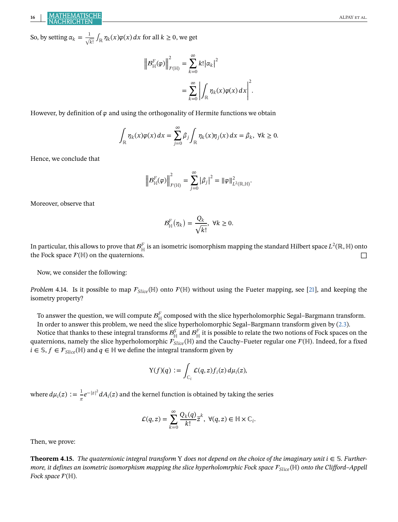So, by setting  $\alpha_k = \frac{1}{\sqrt{kl}} \int_{\mathbb{R}} \eta_k(x) \varphi(x) dx$  for all  $k \ge 0$ , we get

$$
\left\|B_{\mathbb{H}}^F(\varphi)\right\|_{\mathcal{F}(\mathbb{H})}^2 = \sum_{k=0}^{\infty} k! |\alpha_k|^2
$$
  
= 
$$
\sum_{k=0}^{\infty} \left| \int_{\mathbb{R}} \eta_k(x) \varphi(x) dx \right|^2.
$$

However, by definition of  $\varphi$  and using the orthogonality of Hermite functions we obtain

$$
\int_{\mathbb{R}} \eta_k(x)\varphi(x) dx = \sum_{j=0}^{\infty} \beta_j \int_{\mathbb{R}} \eta_k(x)\eta_j(x) dx = \beta_k, \ \forall k \geq 0.
$$

Hence, we conclude that

$$
\left\|{\mathcal B}_{\mathbb H}^F(\varphi)\right\|_{\mathcal F(\mathbb H)}^2=\sum_{j=0}^\infty\left|\beta_j\right|^2=\|\varphi\|_{L^2(\mathbb R,\mathbb H)}^2.
$$

Moreover, observe that

$$
\mathcal{B}_{\mathbb{H}}^F(\eta_k)=\frac{Q_k}{\sqrt{k!}}, \ \forall k\geq 0.
$$

In particular, this allows to prove that  $\mathcal{B}^F_{\mathbb{H}}$  is an isometric isomorphism mapping the standard Hilbert space  $L^2(\mathbb{R},\mathbb{H})$  onto the Fock space  $\mathcal{F}(\mathbb{H})$  on the quaternions.  $\Box$ 

Now, we consider the following:

*Problem* 4.14. Is it possible to map  $\mathcal{F}_{Slice}(\mathbb{H})$  onto  $\mathcal{F}(\mathbb{H})$  without using the Fueter mapping, see [\[21\]](#page-28-0), and keeping the isometry property?

To answer the question, we will compute  $\mathcal{B}^F_{\mathbb{H}}$  composed with the slice hyperholomorphic Segal–Bargmann transform. In order to answer this problem, we need the slice hyperholomorphic Segal–Bargmann transform given by [\(2.3\)](#page-5-0).

Notice that thanks to these integral transforms  $B_{\mathbb H}^S$  and  $B_{\mathbb H}^F$  it is possible to relate the two notions of Fock spaces on the quaternions, namely the slice hyperholomorphic  $\mathcal{F}_{Slice}(\mathbb{H})$  and the Cauchy–Fueter regular one  $\mathcal{F}(\mathbb{H})$ . Indeed, for a fixed  $i \in \mathcal{S}, f \in \mathcal{F}_{Slice}(\mathbb{H})$  and  $q \in \mathbb{H}$  we define the integral transform given by

$$
Y(f)(q) := \int_{\mathbb{C}_i} \mathcal{L}(q, z) f_i(z) d\mu_i(z),
$$

where  $d\mu_i(z) := \frac{1}{\pi}e^{-|z|^2}dA_i(z)$  and the kernel function is obtained by taking the series

$$
\mathcal{L}(q,z) = \sum_{k=0}^{\infty} \frac{Q_k(q)}{k!} z^k, \ \forall (q,z) \in \mathbb{H} \times \mathbb{C}_i.
$$

Then, we prove:

**Theorem 4.15.** *The quaternionic integral transform* Y *does not depend on the choice of the imaginary unit*  $i \in S$ *. Furthermore, it defines an isometric isomorphism mapping the slice hyperholomrphic Fock space* (ℍ) *onto the Clifford–Appell Fock space*  $F(\mathbb{H})$ *.*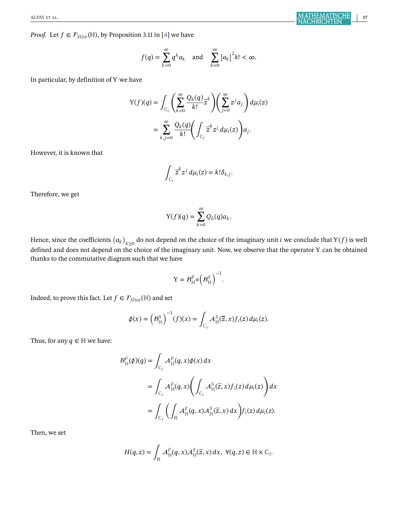*Proof.* Let  $f \in \mathcal{F}_{Slice}(\mathbb{H})$ , by Proposition 3.11 in [\[4\]](#page-27-0) we have

$$
f(q) = \sum_{k=0}^{\infty} q^k a_k \quad \text{and} \quad \sum_{k=0}^{\infty} |a_k|^2 k! < \infty.
$$

In particular, by definition of Υ we have

$$
\begin{split} \mathbf{Y}(f)(q) &= \int_{\mathbb{C}_i} \left( \sum_{k=0}^{\infty} \frac{Q_k(q)}{k!} \overline{z}^k \right) \left( \sum_{j=0}^{\infty} z^j a_j \right) d\mu_i(z) \\ &= \sum_{k,j=0}^{\infty} \frac{Q_k(q)}{k!} \left( \int_{\mathbb{C}_i} \overline{z}^k z^j \, d\mu_i(z) \right) a_j. \end{split}
$$

However, it is known that

$$
\int_{\mathbb{C}_i} \overline{z}^k z^j d\mu_i(z) = k! \delta_{k,j}.
$$

Therefore, we get

$$
Y(f)(q) = \sum_{k=0}^{\infty} Q_k(q) a_k.
$$

Hence, since the coefficients  $(a_k)_{k\geq 0}$  do not depend on the choice of the imaginary unit  $i$  we conclude that Y(f) is well defined and does not depend on the choice of the imaginary unit. Now, we observe that the operator Υ can be obtained thanks to the commutative diagram such that we have

$$
Y = \mathcal{B}_{\mathbb{H}}^F \circ \left(\mathcal{B}_{\mathbb{H}}^S\right)^{-1}.
$$

Indeed, to prove this fact. Let  $f \in \mathcal{F}_{Slice}(\mathbb{H})$  and set

$$
\phi(x) = \left(B_{\mathbb{H}}^S\right)^{-1}(f)(x) = \int_{\mathbb{C}_i} \mathcal{A}_{\mathbb{H}}^S(\overline{z}, x) f_i(z) d\mu_i(z).
$$

Thus, for any  $q \in \mathbb{H}$  we have:

$$
B_{\mathbb{H}}^F(\phi)(q) = \int_{\mathbb{C}_i} \mathcal{A}_{\mathbb{H}}^F(q, x) \phi(x) dx
$$
  
= 
$$
\int_{\mathbb{C}_i} \mathcal{A}_{\mathbb{H}}^F(q, x) \bigg( \int_{\mathbb{C}_i} \mathcal{A}_{\mathbb{H}}^S(\overline{z}, x) f_i(z) d\mu_i(z) \bigg) dx
$$
  
= 
$$
\int_{\mathbb{C}_i} \bigg( \int_{\mathbb{R}} \mathcal{A}_{\mathbb{H}}^F(q, x) \mathcal{A}_{\mathbb{H}}^S(\overline{z}, x) dx \bigg) f_i(z) d\mu_i(z).
$$

Then, we set

$$
H(q, z) = \int_{\mathbb{R}} \mathcal{A}_{\mathbb{H}}^F(q, x) \mathcal{A}_{\mathbb{H}}^S(\overline{z}, x) dx, \ \forall (q, z) \in \mathbb{H} \times \mathbb{C}_i.
$$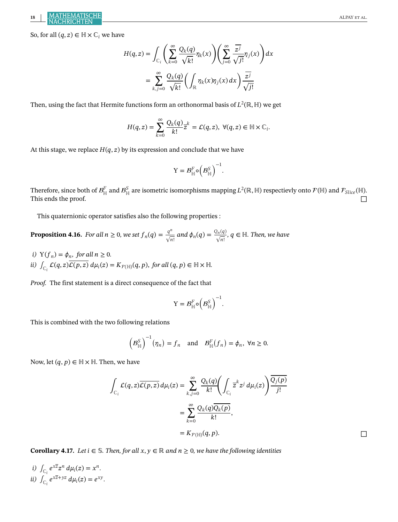<span id="page-19-0"></span>So, for all  $(q, z) \in \mathbb{H} \times \mathbb{C}_i$  we have

$$
H(q, z) = \int_{\mathbb{C}_i} \left( \sum_{k=0}^{\infty} \frac{Q_k(q)}{\sqrt{k!}} \eta_k(x) \right) \left( \sum_{j=0}^{\infty} \frac{\overline{z^j}}{\sqrt{j!}} \eta_j(x) \right) dx
$$

$$
= \sum_{k,j=0}^{\infty} \frac{Q_k(q)}{\sqrt{k!}} \left( \int_{\mathbb{R}} \eta_k(x) \eta_j(x) dx \right) \frac{\overline{z^j}}{\sqrt{j!}}
$$

Then, using the fact that Hermite functions form an orthonormal basis of  $L^2(\mathbb{R}, \mathbb{H})$  we get

$$
H(q,z)=\sum_{k=0}^\infty\frac{Q_k(q)}{k!}z^k=\mathcal{L}(q,z),\ \forall (q,z)\in\mathbb{H}\times\mathbb{C}_i.
$$

At this stage, we replace  $H(q, z)$  by its expression and conclude that we have

$$
Y = \mathcal{B}_{\mathbb{H}}^F \circ \left(\mathcal{B}_{\mathbb{H}}^S\right)^{-1}.
$$

Therefore, since both of  $\mathcal{B}^F_{\mathbb{H}}$  and  $\mathcal{B}^S_{\mathbb{H}}$  are isometric isomorphisms mapping  $L^2(\mathbb{R},\mathbb{H})$  respectievly onto  $\mathcal{F}(\mathbb{H})$  and  $\mathcal{F}_{Slice}(\mathbb{H}).$ This ends the proof.  $\Box$ 

This quaternionic operator satisfies also the following properties :

**Proposition 4.16.** *For all n*  $\geq$  0*, we set*  $f_n(q) = \frac{q^n}{\sqrt{n!}}$  *and*  $\phi_n(q) = \frac{Q_n(q)}{\sqrt{n!}}, q \in \mathbb{H}$ *. Then, we have* 

*i*)  $Y(f_n) = \phi_n$ , for all  $n \geq 0$ .

*ii*)  $\int_{\mathbb{C}_i} \mathcal{L}(q, z) \overline{\mathcal{L}(p, z)} d\mu_i(z) = K_{\mathcal{F}(\mathbb{H})}(q, p)$ , for all  $(q, p) \in \mathbb{H} \times \mathbb{H}$ .

*Proof.* The first statement is a direct consequence of the fact that

$$
\mathbf{Y} = \mathcal{B}_{\mathbb{H}}^F \circ \left( \mathcal{B}_{\mathbb{H}}^S \right)^{-1}.
$$

This is combined with the two following relations

$$
\left(\mathcal{B}^S_{\mathbb{H}}\right)^{-1}(\eta_n)=f_n \text{ and } \mathcal{B}^F_{\mathbb{H}}(f_n)=\phi_n, \forall n \geq 0.
$$

Now, let  $(q, p) \in \mathbb{H} \times \mathbb{H}$ . Then, we have

$$
\int_{\mathbb{C}_i} \mathcal{L}(q, z) \overline{\mathcal{L}(p, z)} d\mu_i(z) = \sum_{k,j=0}^{\infty} \frac{Q_k(q)}{k!} \left( \int_{\mathbb{C}_i} \overline{z}^k z^j d\mu_i(z) \right) \frac{\overline{Q_j(p)}}{j!}
$$

$$
= \sum_{k=0}^{\infty} \frac{Q_k(q) \overline{Q_k(p)}}{k!},
$$

$$
= K_{\mathcal{F}(\mathbb{H})}(q, p).
$$

**Corollary 4.17.** *Let*  $i \in \mathbb{S}$ *. Then, for all*  $x, y \in \mathbb{R}$  *and*  $n \ge 0$ *, we have the following identities* 

*i*)  $\int_{\mathbb{C}_i} e^{x \overline{z}} z^n d\mu_i(z) = x^n$ . *ii*)  $\int_{C_i} e^{x \overline{z} + yz} d\mu_i(z) = e^{xy}$ .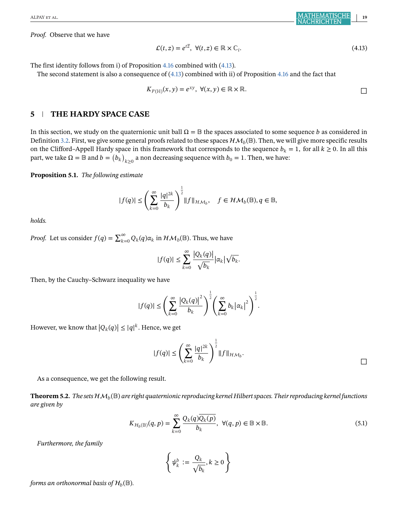<span id="page-20-0"></span>*Proof.* Observe that we have

$$
\mathcal{L}(t, z) = e^{t\overline{z}}, \ \forall (t, z) \in \mathbb{R} \times \mathbb{C}_i.
$$
\n
$$
(4.13)
$$

The first identity follows from i) of Proposition [4.16](#page-19-0) combined with (4.13).

The second statement is also a consequence of (4.13) combined with ii) of Proposition [4.16](#page-19-0) and the fact that

$$
K_{\mathcal{F}(\mathbb{H})}(x, y) = e^{xy}, \ \forall (x, y) \in \mathbb{R} \times \mathbb{R}.
$$

## **5 THE HARDY SPACE CASE**

In this section, we study on the quaternionic unit ball  $\Omega = \mathbb{B}$  the spaces associated to some sequence *b* as considered in Definition [3.2.](#page-5-0) First, we give some general proofs related to these spaces  $\mathcal{HM}_b(\mathbb{B})$ . Then, we will give more specific results on the Clifford–Appell Hardy space in this framework that corresponds to the sequence  $b_k = 1$ , for all  $k \ge 0$ . In all this part, we take  $\Omega = \mathbb{B}$  and  $b = (b_k)_{k \geq 0}$  a non decreasing sequence with  $b_0 = 1$ . Then, we have:

**Proposition 5.1.** *The following estimate*

$$
|f(q)|\leq \left(\sum_{k=0}^\infty\frac{|q|^{2k}}{b_k}\right)^{\frac{1}{2}}\|f\|_{\mathcal{HM}_b},\quad f\in\mathcal{HM}_b(\mathbb{B}), q\in\mathbb{B},
$$

*holds.*

*Proof.* Let us consider  $f(q) = \sum_{k=0}^{\infty} Q_k(q) \alpha_k$  in  $\mathcal{HM}_b(\mathbb{B})$ . Thus, we have

$$
|f(q)| \leq \sum_{k=0}^{\infty} \frac{|Q_k(q)|}{\sqrt{b_k}} |\alpha_k| \sqrt{b_k}.
$$

Then, by the Cauchy–Schwarz inequality we have

$$
|f(q)| \leq \left(\sum_{k=0}^{\infty} \frac{\left|Q_k(q)\right|^2}{b_k}\right)^{\frac{1}{2}} \left(\sum_{k=0}^{\infty} b_k \left|\alpha_k\right|^2\right)^{\frac{1}{2}}.
$$

However, we know that  $|Q_k(q)| \leq |q|^k$ . Hence, we get

$$
|f(q)| \leq \left(\sum_{k=0}^{\infty} \frac{|q|^{2k}}{b_k}\right)^{\frac{1}{2}} \|f\|_{\mathcal{HM}_b}.
$$

As a consequence, we get the following result.

**Theorem 5.2.** *The sets*  $HM_b(\mathbb{B})$  are right quaternionic reproducing kernel Hilbert spaces. Their reproducing kernel functions *are given by*

$$
K_{\mathcal{H}_b(\mathbb{B})}(q, p) = \sum_{k=0}^{\infty} \frac{Q_k(q)\overline{Q_k(p)}}{b_k}, \ \forall (q, p) \in \mathbb{B} \times \mathbb{B}.
$$
 (5.1)

*Furthermore, the family*

$$
\left\{\psi^b_k:=\frac{Q_k}{\sqrt{b_k}}, k\geq 0\right\}
$$

*forms an orthonormal basis of*  $\mathcal{H}_b(\mathbb{B})$ *.*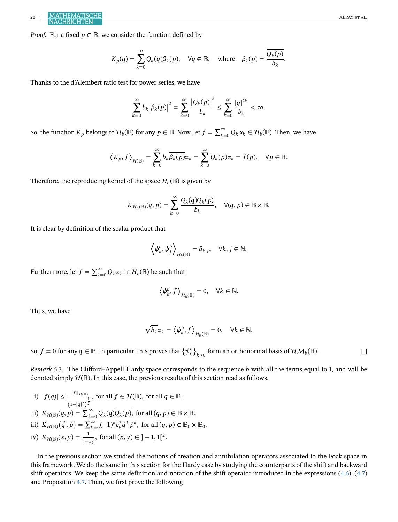*Proof.* For a fixed  $p \in \mathbb{B}$ , we consider the function defined by

$$
K_p(q) = \sum_{k=0}^{\infty} Q_k(q) \beta_k(p), \quad \forall q \in \mathbb{B}, \quad \text{where} \quad \beta_k(p) = \frac{\overline{Q_k(p)}}{b_k}.
$$

Thanks to the d'Alembert ratio test for power series, we have

$$
\sum_{k=0}^{\infty} b_k |\beta_k(p)|^2 = \sum_{k=0}^{\infty} \frac{|Q_k(p)|^2}{b_k} \le \sum_{k=0}^{\infty} \frac{|q|^{2k}}{b_k} < \infty.
$$

So, the function  $K_p$  belongs to  $\mathcal{H}_b(\mathbb{B})$  for any  $p\in\mathbb{B}$ . Now, let  $f=\sum_{k=0}^\infty Q_k\alpha_k\in\mathcal{H}_b(\mathbb{B})$ . Then, we have

$$
\left\langle K_p, f \right\rangle_{\mathcal{H}(\mathbb{B})} = \sum_{k=0}^{\infty} b_k \overline{\beta_k(p)} \alpha_k = \sum_{k=0}^{\infty} Q_k(p) \alpha_k = f(p), \quad \forall p \in \mathbb{B}.
$$

Therefore, the reproducing kernel of the space  $\mathcal{H}_b(\mathbb{B})$  is given by

$$
K_{\mathcal{H}_b(\mathbb{B})}(q,p) = \sum_{k=0}^{\infty} \frac{Q_k(q)\overline{Q_k(p)}}{b_k}, \quad \forall (q,p) \in \mathbb{B} \times \mathbb{B}.
$$

It is clear by definition of the scalar product that

$$
\left\langle \psi_k^b,\psi_j^b \right\rangle_{\mathcal{H}_b(\mathbb{B})} = \delta_{k,j}, \quad \forall k,j \in \mathbb{N}.
$$

Furthermore, let  $f = \sum_{k=0}^{\infty} Q_k \alpha_k$  in  $\mathcal{H}_b(\mathbb{B})$  be such that

$$
\left\langle \psi_k^b, f \right\rangle_{\mathcal{H}_b(\mathbb{B})} = 0, \quad \forall k \in \mathbb{N}.
$$

Thus, we have

$$
\sqrt{b_k}\alpha_k = \left\langle \psi_k^b, f \right\rangle_{\mathcal{H}_b(\mathbb{B})} = 0, \quad \forall k \in \mathbb{N}.
$$

So,  $f = 0$  for any  $q \in \mathbb{B}$ . In particular, this proves that  $\{ \psi_k^b \}_{k \geq 0}$  form an orthonormal basis of  $\mathcal{HM}_b(\mathbb{B})$ .

*Remark* 5.3. The Clifford–Appell Hardy space corresponds to the sequence *b* with all the terms equal to 1, and will be denoted simply  $H(\mathbb{B})$ . In this case, the previous results of this section read as follows.

i)  $|f(q)| \leq \frac{||f||_{\mathcal{H}(\mathbb{B})}}{(1+|q|^2)}$  $\underbrace{\frac{\|J\|_{\mathcal{H}(\mathbb{B})}}{1-\|q\|^2}$ , for all  $f \in \mathcal{H}(\mathbb{B})$ , for all  $q \in \mathbb{B}$ . ii)  $K_{\mathcal{H}(\mathbb{B})}(q, p) = \sum_{k=0}^{\infty} Q_k(q) \overline{Q_k(p)}$ , for all  $(q, p) \in \mathbb{B} \times \mathbb{B}$ . iii)  $K_{\mathcal{H}(\mathbb{B})}(\vec{q}, \vec{p}) = \sum_{k=0}^{\infty} (-1)^k c_k^2 \vec{q}^k \vec{p}^k$ , for all  $(q, p) \in \mathbb{B}_0 \times \mathbb{B}_0$ . iv)  $K_{\mathcal{H}(\mathbb{B})}(x, y) = \frac{1}{1 - xy}$ , for all  $(x, y) \in ]-1, 1[^2$ .

In the previous section we studied the notions of creation and annihilation operators associated to the Fock space in this framework. We do the same in this section for the Hardy case by studying the counterparts of the shift and backward shift operators. We keep the same definition and notation of the shift operator introduced in the expressions [\(4.6\)](#page-12-0), [\(4.7\)](#page-13-0) and Proposition [4.7.](#page-13-0) Then, we first prove the following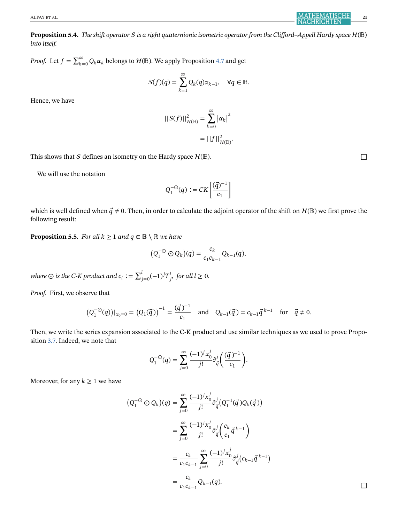**Proposition 5.4.** *The shift operator*  $S$  *is a right quaternionic isometric operator from the Clifford–Appell Hardy space*  $H(\mathbb{B})$ *into itself.*

*Proof.* Let  $f = \sum_{k=0}^{\infty} Q_k \alpha_k$  belongs to  $\mathcal{H}(\mathbb{B})$ . We apply Proposition [4.7](#page-13-0) and get

$$
S(f)(q) = \sum_{k=1}^{\infty} Q_k(q)\alpha_{k-1}, \quad \forall q \in \mathbb{B}.
$$

Hence, we have

$$
||S(f)||_{\mathcal{H}(\mathbb{B})}^2 = \sum_{k=0}^{\infty} |\alpha_k|^2
$$

$$
= ||f||_{\mathcal{H}(\mathbb{B})}^2.
$$

This shows that S defines an isometry on the Hardy space  $\mathcal{H}(\mathbb{B})$ .

We will use the notation

$$
Q_1^{-\odot}(q) := CK\left[\frac{(\vec{q})^{-1}}{c_1}\right]
$$

which is well defined when  $\vec{q} \neq 0$ . Then, in order to calculate the adjoint operator of the shift on  $\mathcal{H}(\mathbb{B})$  we first prove the following result:

**Proposition 5.5.** *For all*  $k \geq 1$  *and*  $q \in \mathbb{B} \setminus \mathbb{R}$  *we have* 

$$
(Q_1^{-\odot} \odot Q_k)(q) = \frac{c_k}{c_1 c_{k-1}} Q_{k-1}(q),
$$

where  $\odot$  is the C-K product and  $c_l$  :=  $\sum_{j=0}^l (-1)^j T^l_j$ , for all  $l\geq 0$ .

*Proof.* First, we observe that

$$
(Q_1^{-\odot}(q))|_{x_0=0} = (Q_1(\vec{q}))^{-1} = \frac{(\vec{q})^{-1}}{c_1}
$$
 and  $Q_{k-1}(\vec{q}) = c_{k-1}\vec{q}^{k-1}$  for  $\vec{q} \neq 0$ .

Then, we write the series expansion associated to the C-K product and use similar techniques as we used to prove Proposition [3.7.](#page-7-0) Indeed, we note that

$$
Q_1^{-\odot}(q) = \sum_{j=0}^{\infty} \frac{(-1)^j x_0^j}{j!} \partial_{\vec{q}}^j \bigg(\frac{(\vec{q}\,)^{-1}}{c_1}\bigg).
$$

Moreover, for any  $k \geq 1$  we have

$$
(Q_1^{-\circledcirc} \circledcirc Q_k)(q) = \sum_{j=0}^{\infty} \frac{(-1)^j x_0^j}{j!} \partial_{\vec{q}}^j (Q_1^{-1}(\vec{q}) Q_k(\vec{q}))
$$
  

$$
= \sum_{j=0}^{\infty} \frac{(-1)^j x_0^j}{j!} \partial_{\vec{q}}^j \left( \frac{c_k}{c_1} \vec{q}^{k-1} \right)
$$
  

$$
= \frac{c_k}{c_1 c_{k-1}} \sum_{j=0}^{\infty} \frac{(-1)^j x_0^j}{j!} \partial_{\vec{q}}^j (c_{k-1} \vec{q}^{k-1})
$$
  

$$
= \frac{c_k}{c_1 c_{k-1}} Q_{k-1}(q).
$$

<span id="page-22-0"></span>ALPAY et al. **21**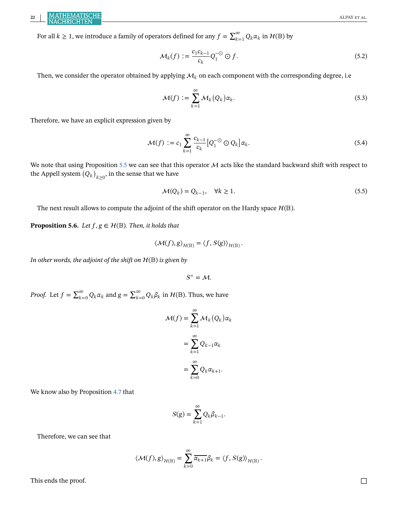<span id="page-23-0"></span>For all  $k \ge 1$ , we introduce a family of operators defined for any  $f = \sum_{k=1}^{\infty} Q_k \alpha_k$  in  $\mathcal{H}(\mathbb{B})$  by

$$
\mathcal{M}_k(f) := \frac{c_1 c_{k-1}}{c_k} Q_1^{-\odot} \odot f. \tag{5.2}
$$

Then, we consider the operator obtained by applying  $\mathcal{M}_k$  on each component with the corresponding degree, i.e

$$
\mathcal{M}(f) := \sum_{k=1}^{\infty} \mathcal{M}_k(Q_k) \alpha_k.
$$
\n(5.3)

Therefore, we have an explicit expression given by

$$
\mathcal{M}(f) := c_1 \sum_{k=1}^{\infty} \frac{c_{k-1}}{c_k} \left[ Q_1^{-\odot} \odot Q_k \right] \alpha_k.
$$
\n(5.4)

We note that using Proposition [5.5](#page-22-0) we can see that this operator  $M$  acts like the standard backward shift with respect to the Appell system  $\left(Q_k\right)_{k\geq 0}$ , in the sense that we have

$$
\mathcal{M}(Q_k) = Q_{k-1}, \quad \forall k \ge 1.
$$
\n
$$
(5.5)
$$

The next result allows to compute the adjoint of the shift operator on the Hardy space  $\mathcal{H}(\mathbb{B})$ .

**Proposition 5.6.** *Let*  $f, g \in \mathcal{H}(\mathbb{B})$ *. Then, it holds that* 

$$
\langle \mathcal{M}(f), g \rangle_{\mathcal{H}(\mathbb{B})} = \langle f, S(g) \rangle_{\mathcal{H}(\mathbb{B})}.
$$

*In other words, the adjoint of the shift on*  $H(\mathbb{B})$  *is given by* 

 $S^* = M$ .

*Proof.* Let  $f = \sum_{k=0}^{\infty} Q_k \alpha_k$  and  $g = \sum_{k=0}^{\infty} Q_k \beta_k$  in  $\mathcal{H}(\mathbb{B})$ . Thus, we have

$$
\mathcal{M}(f) = \sum_{k=1}^{\infty} \mathcal{M}_k(Q_k) \alpha_k
$$

$$
= \sum_{k=1}^{\infty} Q_{k-1} \alpha_k
$$

$$
= \sum_{k=0}^{\infty} Q_k \alpha_{k+1}.
$$

We know also by Proposition [4.7](#page-13-0) that

$$
S(g) = \sum_{k=1}^{\infty} Q_k \beta_{k-1}.
$$

Therefore, we can see that

$$
\langle \mathcal{M}(f), g \rangle_{\mathcal{H}(\mathbb{B})} = \sum_{k=0}^{\infty} \overline{\alpha_{k+1}} \beta_k = \langle f, S(g) \rangle_{\mathcal{H}(\mathbb{B})}.
$$

This ends the proof.  $\Box$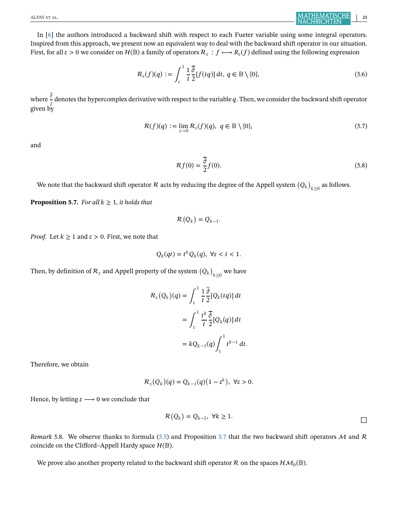<span id="page-24-0"></span>In [\[6\]](#page-27-0) the authors introduced a backward shift with respect to each Fueter variable using some integral operators. Inspired from this approach, we present now an equivalent way to deal with the backward shift operator in our situation. First, for all  $\varepsilon>0$  we consider on  $H(\mathbb{B})$  a family of operators  $\mathcal{R}_{\varepsilon}: f \mapsto R_{\varepsilon}(f)$  defined using the following expression

$$
\mathcal{R}_{\varepsilon}(f)(q) := \int_{\varepsilon}^{1} \frac{1}{t} \frac{\overline{\partial}}{2} [f(tq)] dt, \, q \in \mathbb{B} \setminus \{0\},\tag{5.6}
$$

where  $\frac{\overline{\partial}}{2}$  denotes the hypercomplex derivative with respect to the variable  $q$ . Then, we consider the backward shift operator given by

$$
\mathcal{R}(f)(q) := \lim_{\varepsilon \to 0} \mathcal{R}_{\varepsilon}(f)(q), \ q \in \mathbb{B} \setminus \{0\},\tag{5.7}
$$

and

$$
\mathcal{R}f(0) = \frac{\overline{\partial}}{2}f(0). \tag{5.8}
$$

We note that the backward shift operator  $\cal R$  acts by reducing the degree of the Appell system  $\left(Q_k\right)_{k\geq 0}$  as follows.

**Proposition 5.7.** *For all*  $k \geq 1$ *, it holds that* 

$$
\mathcal{R}(Q_k) = Q_{k-1}.
$$

*Proof.* Let  $k \geq 1$  and  $\varepsilon > 0$ . First, we note that

$$
Q_k(qt) = t^k Q_k(q), \ \forall \varepsilon < t < 1.
$$

Then, by definition of  $\mathcal{R}_\varepsilon$  and Appell property of the system  $\left(Q_k\right)_{k\geq 0}$  we have

$$
\mathcal{R}_{\varepsilon}(Q_{k})(q) = \int_{\varepsilon}^{1} \frac{1}{t} \frac{\overline{\partial}}{2} [Q_{k}(tq)] dt
$$
  

$$
= \int_{\varepsilon}^{1} \frac{t^{k}}{t} \frac{\overline{\partial}}{2} [Q_{k}(q)] dt
$$
  

$$
= kQ_{k-1}(q) \int_{\varepsilon}^{1} t^{k-1} dt.
$$

Therefore, we obtain

$$
\mathcal{R}_{\varepsilon}(Q_k)(q) = Q_{k-1}(q)(1 - \varepsilon^k), \ \forall \varepsilon > 0.
$$

Hence, by letting  $\varepsilon \longrightarrow 0$  we conclude that

$$
\mathcal{R}(Q_k) = Q_{k-1}, \ \forall k \ge 1.
$$

*Remark* 5.8. We observe thanks to formula [\(5.5\)](#page-23-0) and Proposition 5.7 that the two backward shift operators  $M$  and  $R$ coincide on the Clifford–Appell Hardy space  $\mathcal{H}(\mathbb{B})$ .

We prove also another property related to the backward shift operator R on the spaces  $\mathcal{HM}_{b}(\mathbb{B}).$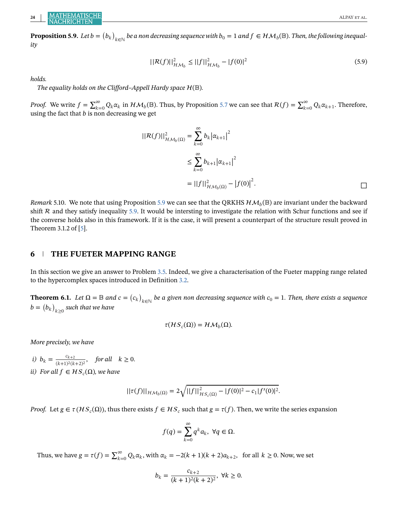<span id="page-25-0"></span> ${\bf Proposition 5.9.}$  Let  $b=\big(b_k\big)_{k\in\mathbb{N}}$  be a non decreasing sequence with  $b_0=1$  and  $f\in \mathcal{HM}_b(\mathbb{B}).$  Then, the following inequal*ity*

$$
||\mathcal{R}(f)||_{\mathcal{HM}_{b}}^{2} \le ||f||_{\mathcal{HM}_{b}}^{2} - |f(0)|^{2}
$$
\n(5.9)

*holds.*

*The equality holds on the Clifford–Appell Hardy space*  $H(\mathbb{B})$ *.* 

*Proof.* We write  $f = \sum_{k=0}^{\infty} Q_k \alpha_k$  in  $\mathcal{HM}_b(\mathbb{B})$ . Thus, by Proposition [5.7](#page-24-0) we can see that  $\mathcal{R}(f) = \sum_{k=0}^{\infty} Q_k \alpha_{k+1}$ . Therefore, using the fact that  $b$  is non decreasing we get

$$
||R(f)||_{\mathcal{HM}_{b}(\Omega)}^{2} = \sum_{k=0}^{\infty} b_{k} |\alpha_{k+1}|^{2}
$$
  

$$
\leq \sum_{k=0}^{\infty} b_{k+1} |\alpha_{k+1}|^{2}
$$
  

$$
= ||f||_{\mathcal{HM}_{b}(\Omega)}^{2} - |f(0)|^{2}.
$$

*Remark* 5.10. We note that using Proposition 5.9 we can see that the QRKHS  $HM_b(\mathbb{B})$  are invariant under the backward shift  $R$  and they satisfy inequality 5.9. It would be intersting to investigate the relation with Schur functions and see if the converse holds also in this framework. If it is the case, it will present a counterpart of the structure result proved in Theorem 3.1.2 of [\[5\]](#page-27-0).

## **6 THE FUETER MAPPING RANGE**

In this section we give an answer to Problem [3.5.](#page-6-0) Indeed, we give a characterisation of the Fueter mapping range related to the hypercomplex spaces introduced in Definition [3.2.](#page-5-0)

**Theorem 6.1.** Let  $\Omega = \mathbb{B}$  and  $c = (c_k)_{k \in \mathbb{N}}$  be a given non decreasing sequence with  $c_0 = 1$ . Then, there exists a sequence  $b = \bigl( b_k \bigr)_{k \geq 0}$  such that we have

$$
\tau(HS_c(\Omega)) = H\mathcal{M}_b(\Omega).
$$

*More precisely, we have*

*i*)  $b_k = \frac{c_{k+2}}{(k+1)^2(k+2)^2}$ , *for all*  $k \ge 0$ . *ii)* For all  $f \in HS_c(\Omega)$ , we have

$$
||\tau(f)||_{\mathcal{HM}_b(\Omega)} = 2\sqrt{||f||^2_{\mathcal{HS}_c(\Omega)} - |f(0)|^2 - c_1|f'(0)|^2}.
$$

*Proof.* Let  $g \in \tau(HS_c(\Omega))$ , thus there exists  $f \in HS_c$  such that  $g = \tau(f)$ . Then, we write the series expansion

$$
f(q) = \sum_{k=0}^{\infty} q^k a_k, \ \forall q \in \Omega.
$$

Thus, we have  $g = \tau(f) = \sum_{k=0}^{\infty} Q_k \alpha_k$ , with  $\alpha_k = -2(k+1)(k+2)a_{k+2}$ , for all  $k \ge 0$ . Now, we set

$$
b_k = \frac{c_{k+2}}{(k+1)^2(k+2)^2}, \ \forall k \ge 0.
$$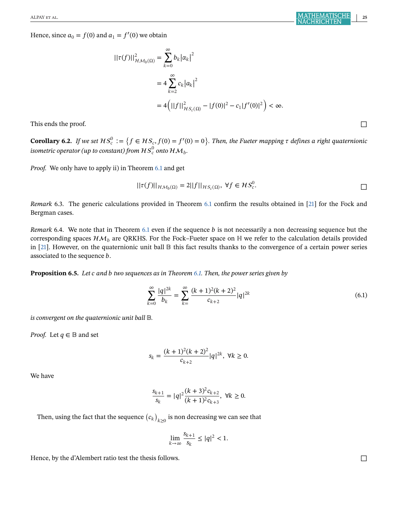Hence, since  $a_0 = f(0)$  and  $a_1 = f'(0)$  we obtain

$$
\begin{aligned} ||\tau(f)||_{\mathcal{HM}_{b}(\Omega)}^{2} &= \sum_{k=0}^{\infty} b_{k} |\alpha_{k}|^{2} \\ &= 4 \sum_{k=2}^{\infty} c_{k} |a_{k}|^{2} \\ &= 4 \left( ||f||_{\mathcal{HS}_{c}(\Omega)}^{2} - |f(0)|^{2} - c_{1}|f'(0)|^{2} \right) < \infty. \end{aligned}
$$

This ends the proof.  $\Box$ 

**Corollary 6.2.** If we set  $HS_c^0 := \{f \in HS_c, f(0) = f'(0) = 0\}$ . Then, the Fueter mapping  $\tau$  defines a right quaternionic isometric operator (up to constant) from  $\mathcal{HS}^0_c$  onto  $\mathcal{HM}_b$ .

*Proof.* We only have to apply ii) in Theorem [6.1](#page-25-0) and get

$$
||\tau(f)||_{\mathcal{HM}_b(\Omega)} = 2||f||_{\mathcal{HS}_c(\Omega)}, \ \forall f \in \mathcal{HS}_c^0.
$$

*Remark* 6.3. The generic calculations provided in Theorem [6.1](#page-25-0) confirm the results obtained in [\[21\]](#page-28-0) for the Fock and Bergman cases.

*Remark* 6.4. We note that in Theorem [6.1](#page-25-0) even if the sequence *b* is not necessarily a non decreasing sequence but the corresponding spaces  $HM<sub>b</sub>$  are QRKHS. For the Fock–Fueter space on H we refer to the calculation details provided in  $[21]$ . However, on the quaternionic unit ball  $\mathbb B$  this fact results thanks to the convergence of a certain power series associated to the sequence *b*.

**Proposition 6.5.** *Let and two sequences as in Theorem [6.1.](#page-25-0) Then, the power series given by*

$$
\sum_{k=0}^{\infty} \frac{|q|^{2k}}{b_k} = \sum_{k=0}^{\infty} \frac{(k+1)^2(k+2)^2}{c_{k+2}} |q|^{2k}
$$
(6.1)

*is convergent on the quaternionic unit ball*  $\mathbb{B}$ *.* 

*Proof.* Let  $q \in \mathbb{B}$  and set

$$
s_k = \frac{(k+1)^2(k+2)^2}{c_{k+2}} |q|^{2k}, \ \forall k \ge 0.
$$

We have

$$
\frac{s_{k+1}}{s_k} = |q|^2 \frac{(k+3)^2 c_{k+2}}{(k+1)^2 c_{k+3}}, \ \forall k \ge 0.
$$

Then, using the fact that the sequence  $\left(c_k\right)_{k\geq 0}$  is non decreasing we can see that

$$
\lim_{k \to \infty} \frac{s_{k+1}}{s_k} \le |q|^2 < 1.
$$

Hence, by the d'Alembert ratio test the thesis follows.  $\Box$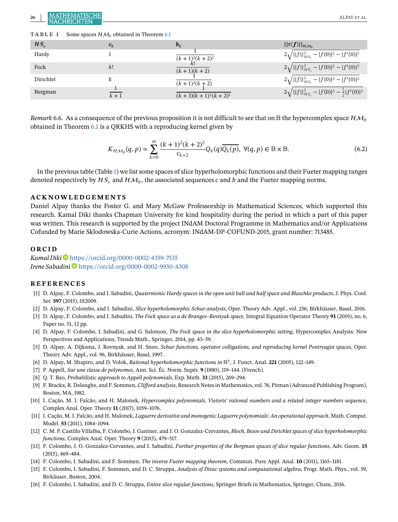<span id="page-27-0"></span>26 **ALPAY ET AL. ALPAY ET AL.** ALPAY ET AL.

|  | TABLE 1 |  |  | Some spaces $HM_h$ obtained in Theorem 6.1 |  |
|--|---------|--|--|--------------------------------------------|--|
|--|---------|--|--|--------------------------------------------|--|

| $HS_c$    | $c_k$ | $b_k$                       | $  \tau(f)  _{\mathcal{HM}_h}$                             |
|-----------|-------|-----------------------------|------------------------------------------------------------|
| Hardy     |       | $(k+1)^2(k+2)^2$            | $2\sqrt{  f  ^2_{HS_c}} -  f(0) ^2 -  f'(0) ^2$            |
| Fock      | k!    | $(k + 1)(k + 2)$            | $2\sqrt{  f  ^2_{HS_c}- f(0) ^2- f'(0) ^2}$                |
| Dirichlet |       | $(k + 1)^2(k + 2)$          | $2\sqrt{  f  ^2_{HS_c}} -  f(0) ^2 -  f'(0) ^2$            |
| Bergman   | $k+1$ | $(k + 3)(k + 1)^2(k + 2)^2$ | $2\sqrt{  f  ^2_{HS_c}} -  f(0) ^2 - \frac{1}{2} f'(0) ^2$ |

*Remark* 6.6. As a consequence of the previous proposition it is not difficult to see that on  $\mathbb B$  the hypercomplex space  $\mathcal HM_h$ obtained in Theorem [6.1](#page-25-0) is a QRKHS with a reproducing kernel given by

$$
K_{\mathcal{H}\mathcal{M}_b}(q, p) = \sum_{k=0}^{\infty} \frac{(k+1)^2(k+2)^2}{c_{k+2}} Q_k(q) \overline{Q_k(p)}, \ \forall (q, p) \in \mathbb{B} \times \mathbb{B}.
$$
 (6.2)

In the previous table (Table 1) we list some spaces of slice hyperholomorphic functions and their Fueter mapping ranges denoted respectively by  $HS_c$  and  $HM_b$ , the associated sequences c and b and the Fueter mapping norms.

### **ACKNOWLEDGEMENTS**

Daniel Alpay thanks the Foster G. and Mary McGaw Professorship in Mathematical Sciences, which supported this research. Kamal Diki thanks Chapman University for kind hospitality during the period in which a part of this paper was written. This research is supported by the project INdAM Doctoral Programme in Mathematics and/or Applications Cofunded by Marie Sklodowska-Curie Actions, acronym: INdAM-DP-COFUND-2015, grant number: 713485.

#### **ORCID**

*Kamal Diki* <https://orcid.org/0000-0002-4359-7535> *Irene Sabadini* <sup>(1)</sup> <https://orcid.org/0000-0002-9930-4308>

#### **REFERENCES**

- [1] D. Alpay, F. Colombo, and I. Sabadini, *Quaternionic Hardy spaces in the open unit ball and half space and Blaschke products*, J. Phys. Conf. Ser. **597** (2015), 012009.
- [2] D. Alpay, F. Colombo, and I. Sabadini, *Slice hyperholomorphic Schur analysis*, Oper. Theory Adv. Appl., vol. 256, Birkhäuser, Basel, 2016.
- [3] D. Alpay, F. Colombo, and I. Sabadini, *The Fock space as a de Branges–Rovnyak space*, Integral Equation Operator Theory **91** (2019), no. 6, Paper no. 51, 12 pp.
- [4] D. Alpay, F. Colombo, I. Sabadini, and G. Salomon, *The Fock space in the slice hyperholomorphic setting*, Hypercomplex Analysis: New Perspectives and Applications, Trends Math., Springer, 2014, pp. 43–59.
- [5] D. Alpay, A. Dijksma, J. Rovnyak, and H. Snoo, *Schur functions, operator colligations, and reproducing kernel Pontryagin spaces*, Oper. Theory Adv. Appl., vol. 96, Birkhäuser, Basel, 1997.
- [6] D. Alpay, M. Shapiro, and D. Volok, *Rational hyperholomorphic functions in* ℝ4, J. Funct. Anal. **221** (2005), 122–149.
- [7] P. Appell, *Sur une classe de polynomes*, Ann. Sci. Éc. Norm. Supér. **9** (1880), 119–144. (French).
- [8] Q. T. Bao, *Probabilistic approach to Appell polynomials*, Exp. Math. **33** (2015), 269–294.
- [9] F. Brackx, R. Delanghe, and F. Sommen, *Clifford analysis*, Research Notes in Mathematics, vol. 76, Pitman (Advanced Publishing Program), Boston, MA, 1982.
- [10] I. Cação, M. I. Falcão, and H. Malonek, *Hypercomplex polynomials, Vietoris' rational numbers and a related integer numbers sequence*, Complex Anal. Oper. Theory **11** (2017), 1059–1076.
- [11] I. Cação, M. I. Falcão, and H. Malonek, *Laguerre derivative and monogenic Laguerre polynomials: An operational approach*, Math. Comput. Model. **53** (2011), 1084–1094.
- [12] C. M. P. Castillo Villalba, F. Colombo, J. Gantner, and J. O. Gonzalez-Cervantes, *Bloch, Besov and Dirichlet spaces of slice hyperholomorphic functions*, Complex Anal. Oper. Theory **9** (2015), 479–517.
- [13] F. Colombo, J. O. Gonzalez-Cervantes, and I. Sabadini, *Further properties of the Bergman spaces of slice regular functions*, Adv. Geom. **15** (2015), 469–484.
- [14] F. Colombo, I. Sabadini, and F. Sommen, *The inverse Fueter mapping theorem*, Commun. Pure Appl. Anal. **10** (2011), 1165–1181.
- [15] F. Colombo, I. Sabadini, F. Sommen, and D. C. Struppa, *Analysis of Dirac systems and computational algebra*, Progr. Math. Phys., vol. 39, Birkäuser, Boston, 2004.
- [16] F. Colombo, I. Sabadini, and D. C. Struppa, *Entire slice regular functions*, Springer Briefs in Mathematics, Springer, Cham, 2016.